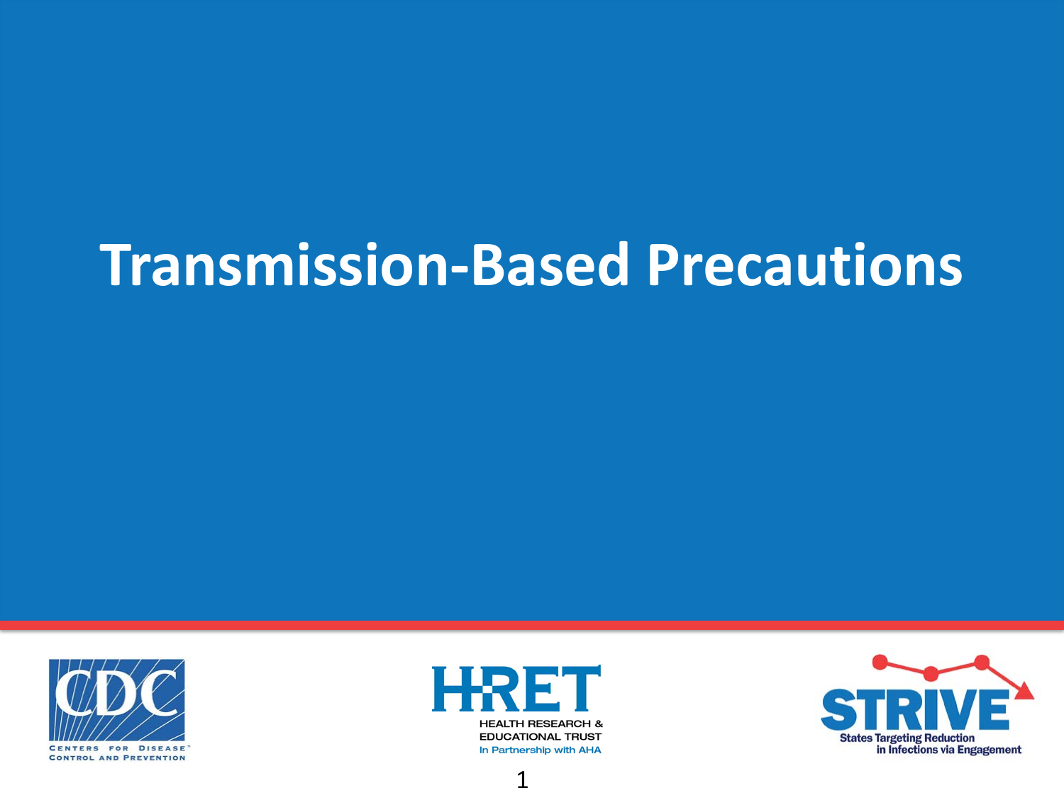# **Transmission-Based Precautions**



**HEALTH RESEARCH & EDUCATIONAL TRUST** In Partnership with AHA



1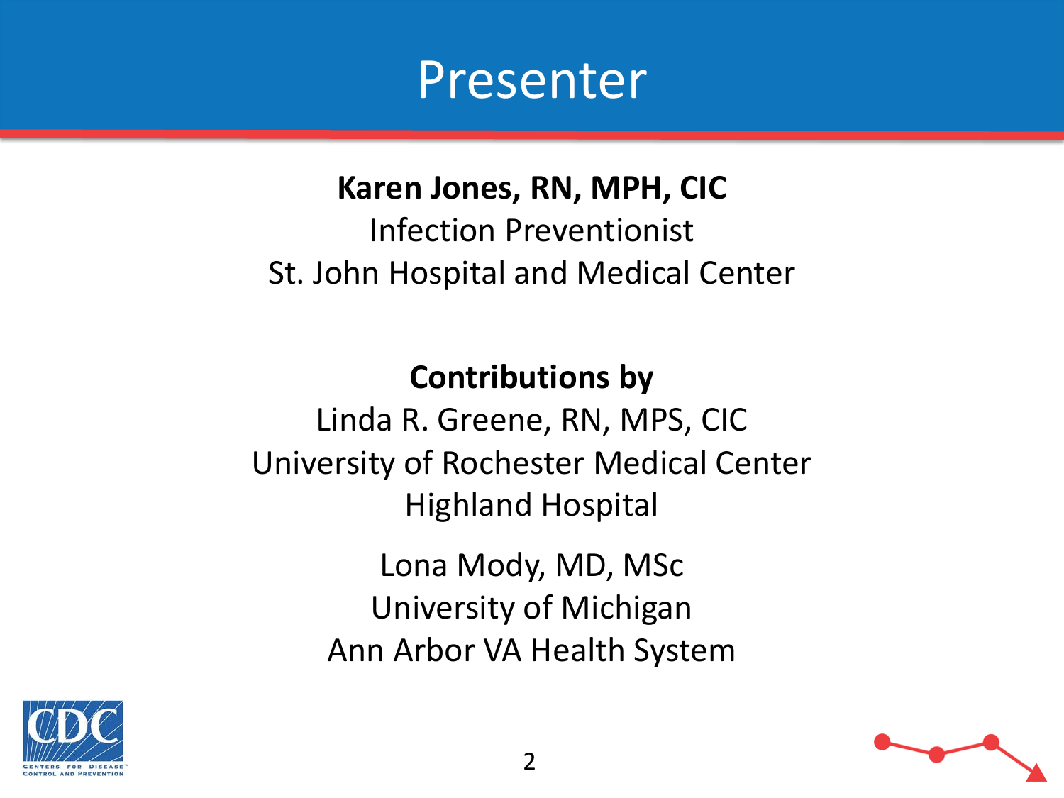

**Karen Jones, RN, MPH, CIC** Infection Preventionist St. John Hospital and Medical Center

**Contributions by** Linda R. Greene, RN, MPS, CIC University of Rochester Medical Center Highland Hospital Lona Mody, MD, MSc University of Michigan Ann Arbor VA Health System



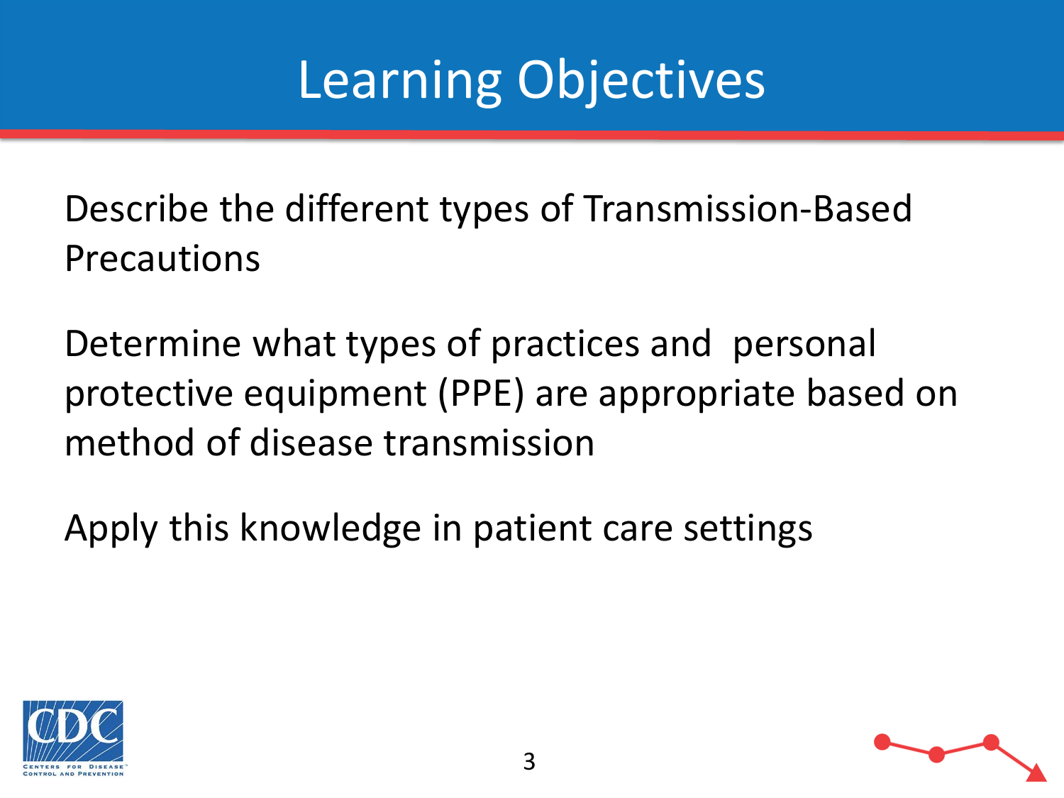# Learning Objectives

Describe the different types of Transmission-Based Precautions

Determine what types of practices and personal protective equipment (PPE) are appropriate based on method of disease transmission

Apply this knowledge in patient care settings



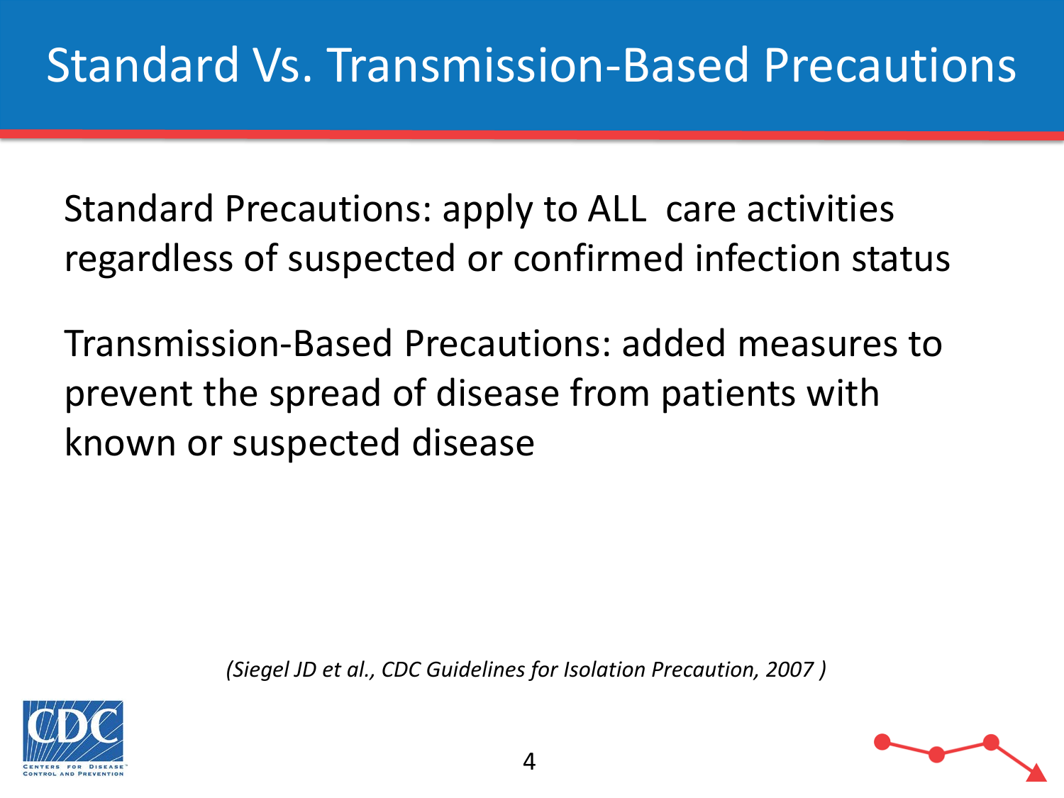Standard Precautions: apply to ALL care activities regardless of suspected or confirmed infection status

Transmission-Based Precautions: added measures to prevent the spread of disease from patients with known or suspected disease

*(Siegel JD et al., CDC Guidelines for Isolation Precaution, 2007 )*



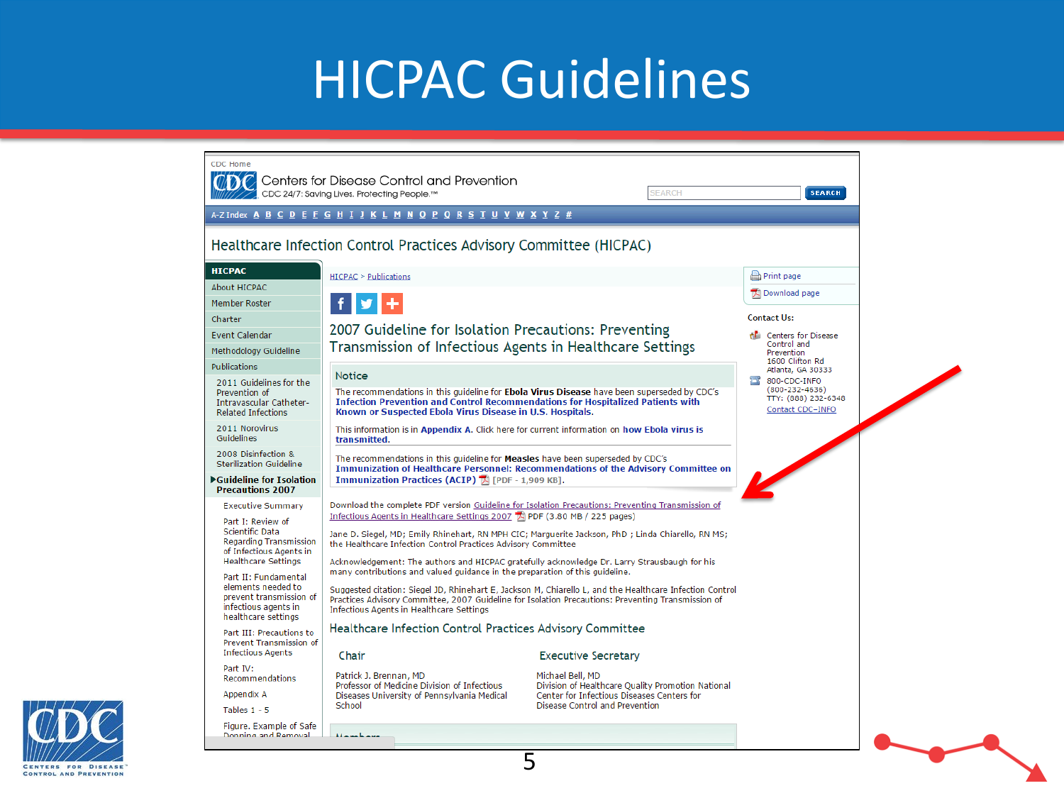#### HICPAC Guidelines



CENTERS FOR DISEASE **CONTROL AND PREVENTION**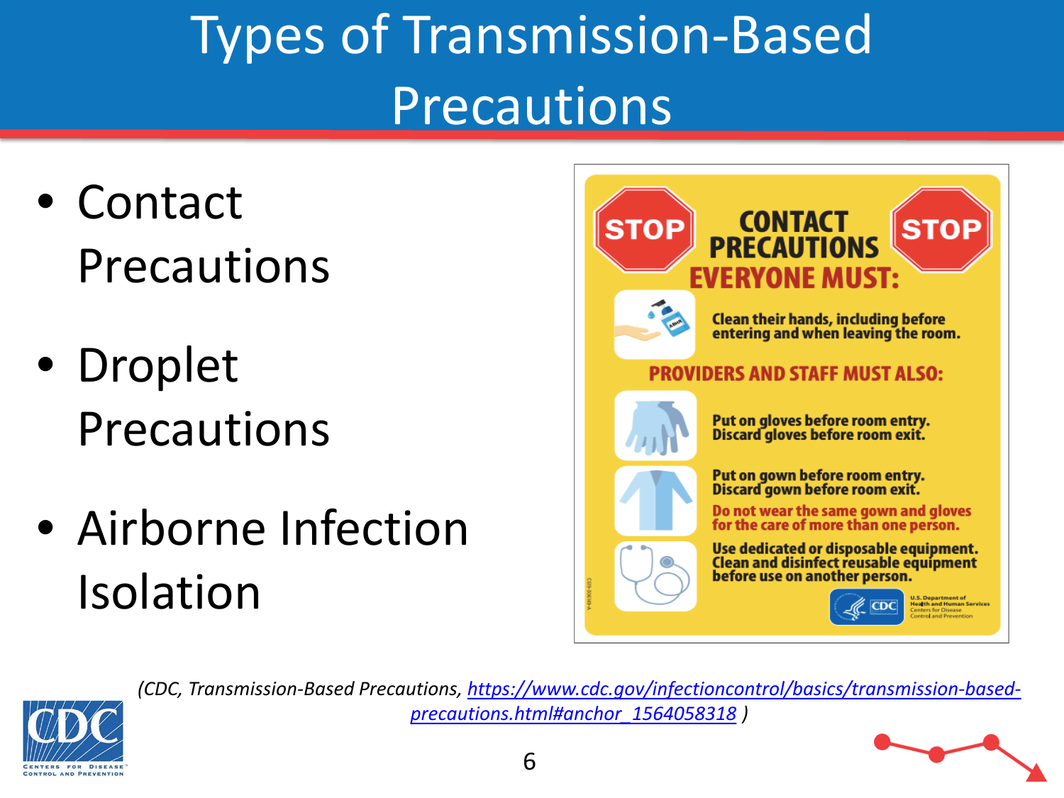# Types of Transmission-Based Precautions

- Contact Precautions
- Droplet Precautions
- Airborne Infection Isolation





*(CDC, Transmission-Based Preca[utions, https://www.cdc.gov/infectioncontrol/basics/transmission-based](https://www.cdc.gov/infectioncontrol/basics/transmission-based-precautions.html#anchor_1564058318)precautions.html#anchor\_1564058318 )*

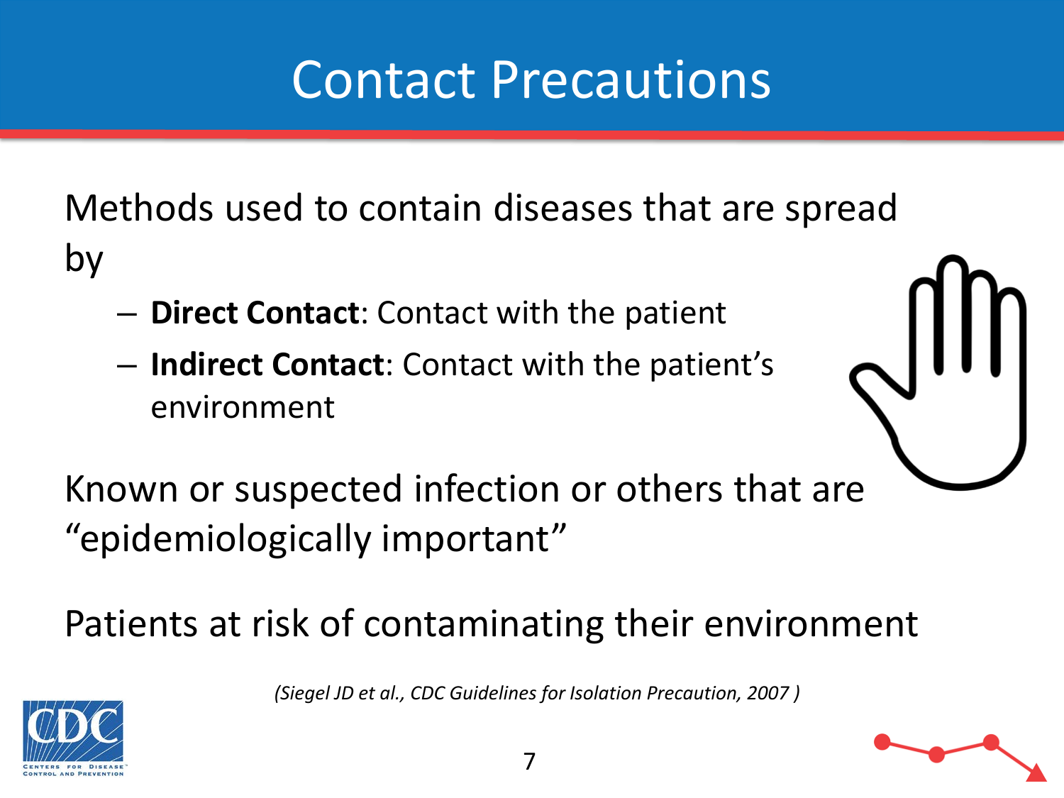#### Contact Precautions

Methods used to contain diseases that are spread by

- **Direct Contact**: Contact with the patient
- **Indirect Contact**: Contact with the patient's environment



Known or suspected infection or others that are "epidemiologically important"

Patients at risk of contaminating their environment

*(Siegel JD et al., CDC Guidelines for Isolation Precaution, 2007 )*



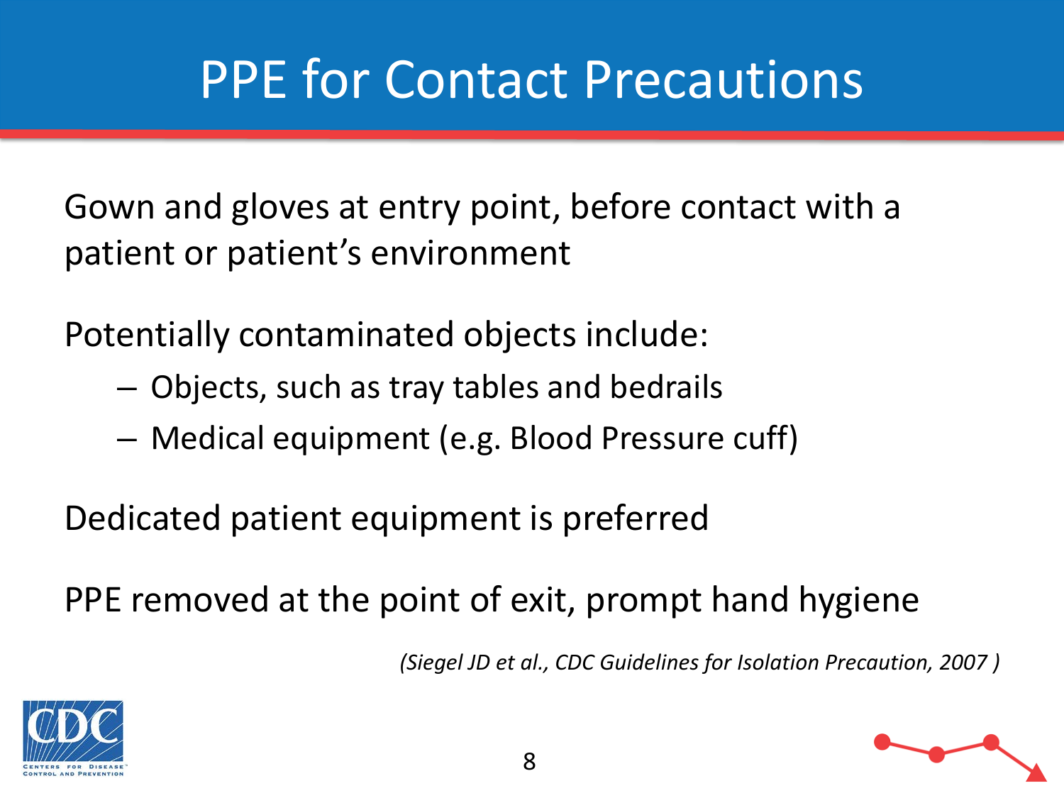Gown and gloves at entry point, before contact with a patient or patient's environment

Potentially contaminated objects include:

- Objects, such as tray tables and bedrails
- Medical equipment (e.g. Blood Pressure cuff)

Dedicated patient equipment is preferred

PPE removed at the point of exit, prompt hand hygiene

*(Siegel JD et al., CDC Guidelines for Isolation Precaution, 2007 )*



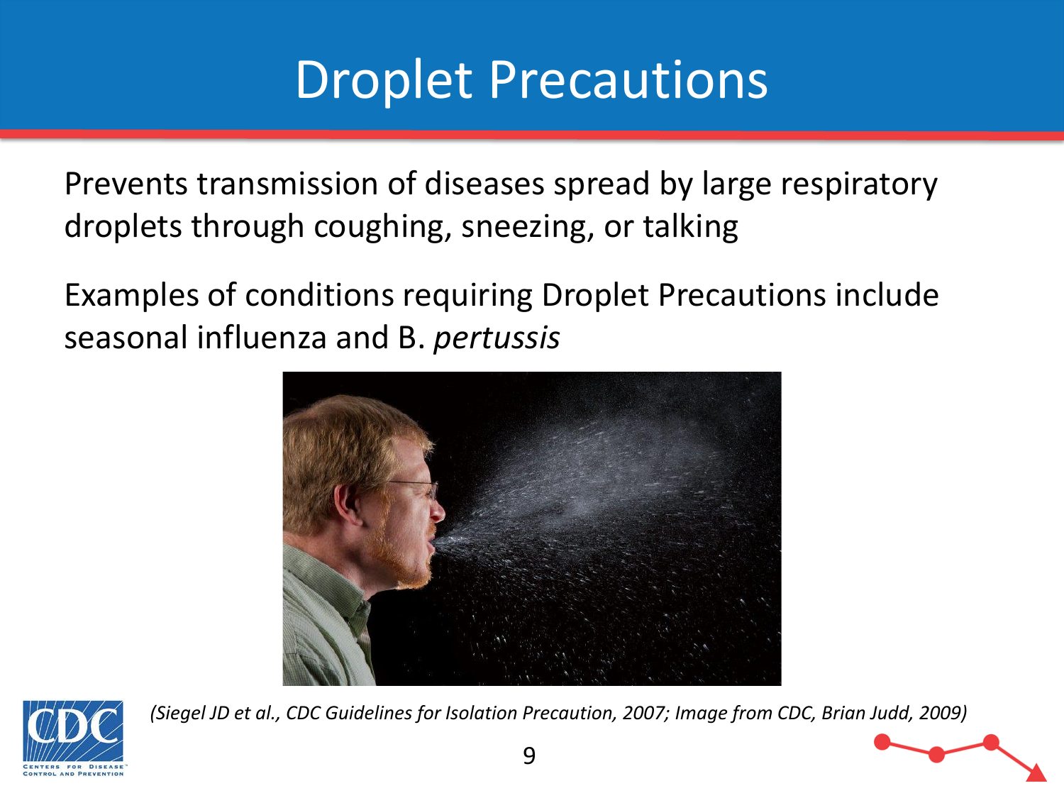#### Droplet Precautions

Prevents transmission of diseases spread by large respiratory droplets through coughing, sneezing, or talking

Examples of conditions requiring Droplet Precautions include seasonal influenza and B. *pertussis*





*(Siegel JD et al., CDC Guidelines for Isolation Precaution, 2007; Image from CDC, Brian Judd, 2009)*

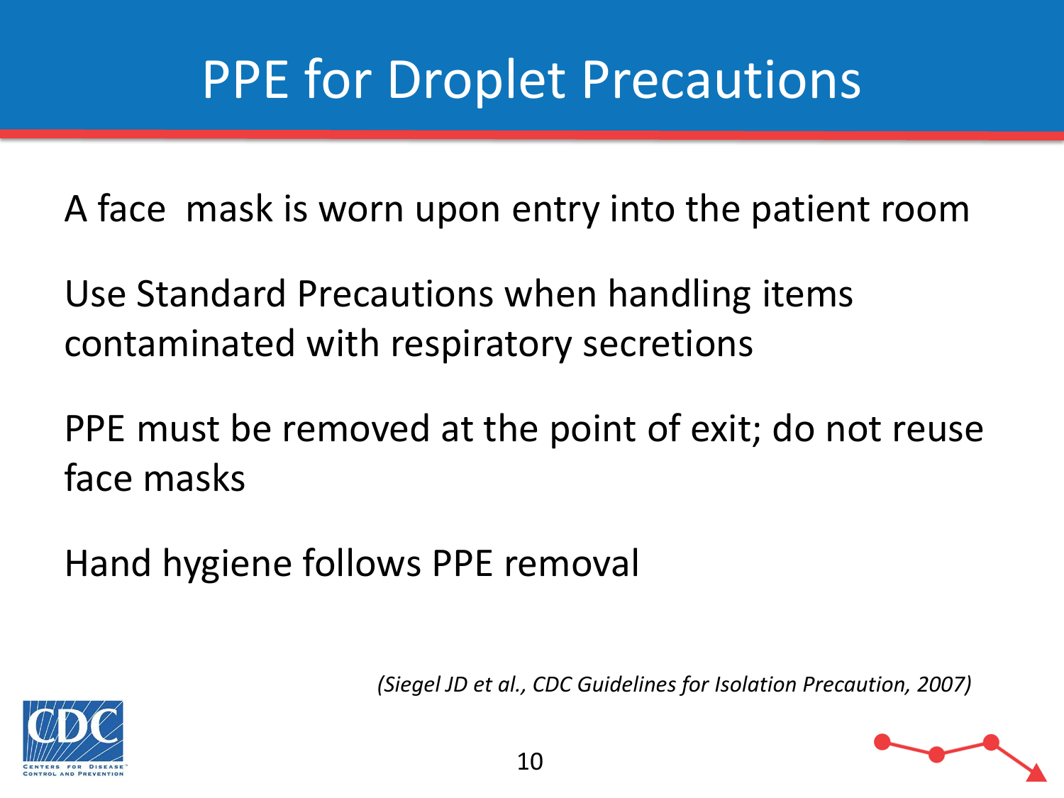## PPE for Droplet Precautions

A face mask is worn upon entry into the patient room

Use Standard Precautions when handling items contaminated with respiratory secretions

PPE must be removed at the point of exit; do not reuse face masks

Hand hygiene follows PPE removal

*(Siegel JD et al., CDC Guidelines for Isolation Precaution, 2007)*

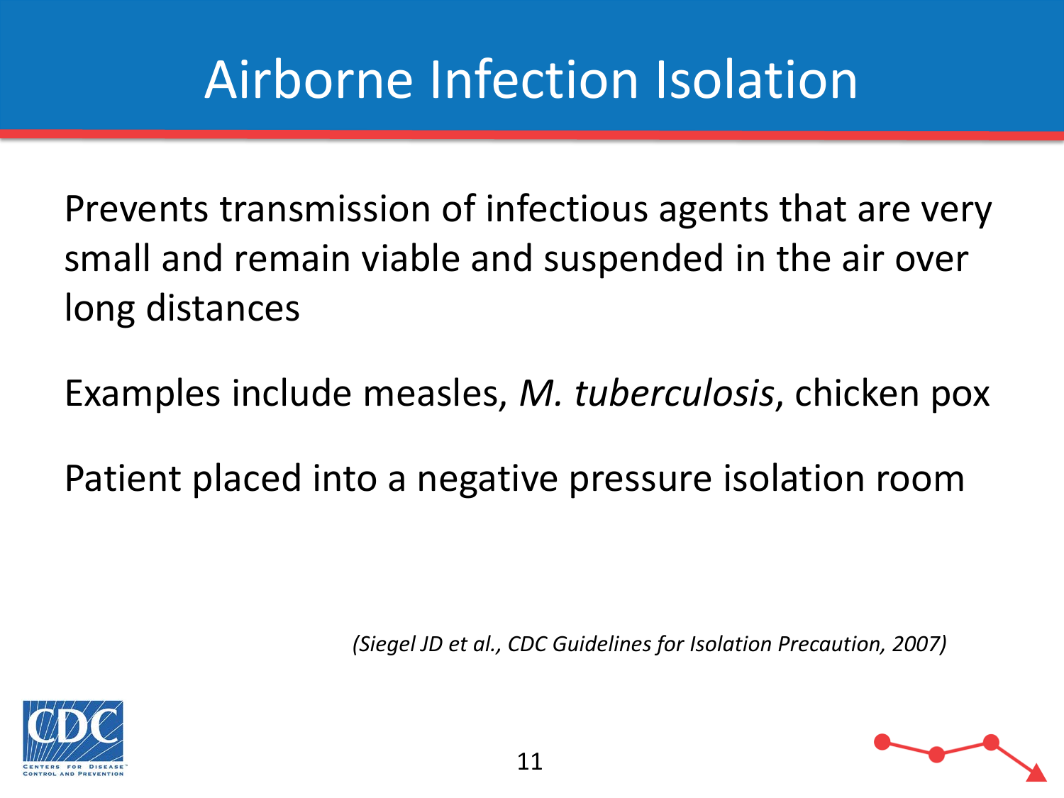# Airborne Infection Isolation

Prevents transmission of infectious agents that are very small and remain viable and suspended in the air over long distances

Examples include measles, *M. tuberculosis*, chicken pox

Patient placed into a negative pressure isolation room

*(Siegel JD et al., CDC Guidelines for Isolation Precaution, 2007)*



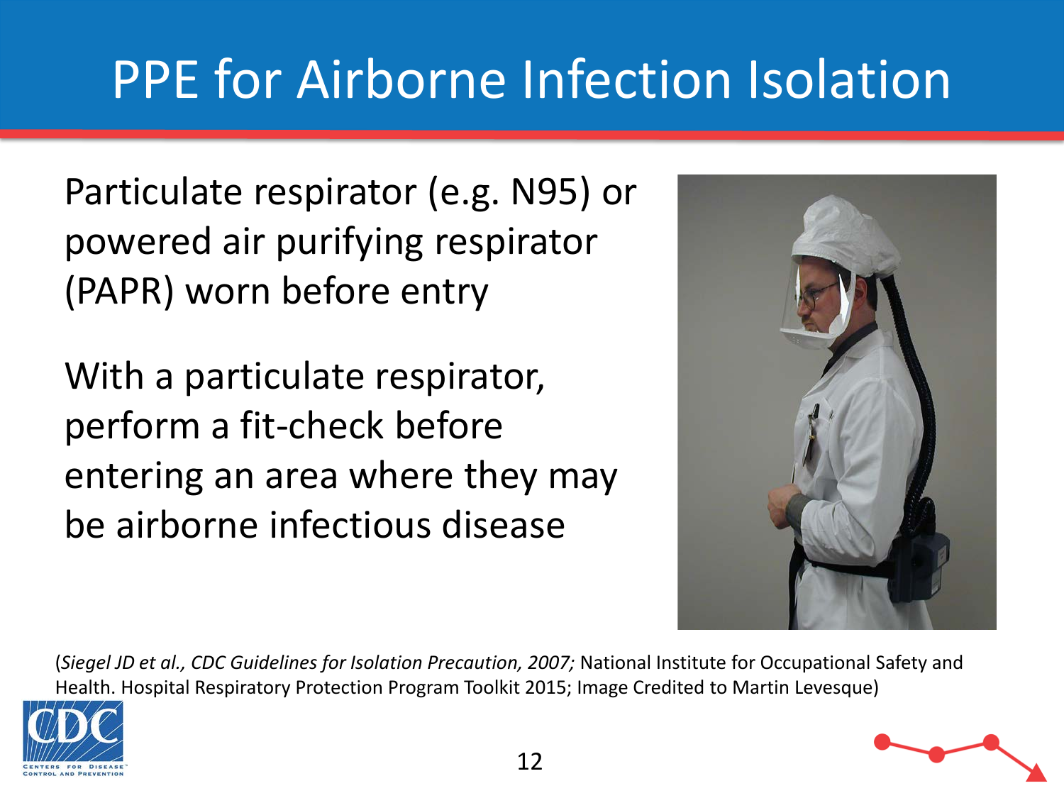# PPE for Airborne Infection Isolation

Particulate respirator (e.g. N95) or powered air purifying respirator (PAPR) worn before entry

With a particulate respirator, perform a fit-check before entering an area where they may be airborne infectious disease



(*Siegel JD et al., CDC Guidelines for Isolation Precaution, 2007;* National Institute for Occupational Safety and Health. Hospital Respiratory Protection Program Toolkit 2015; Image Credited to Martin Levesque)



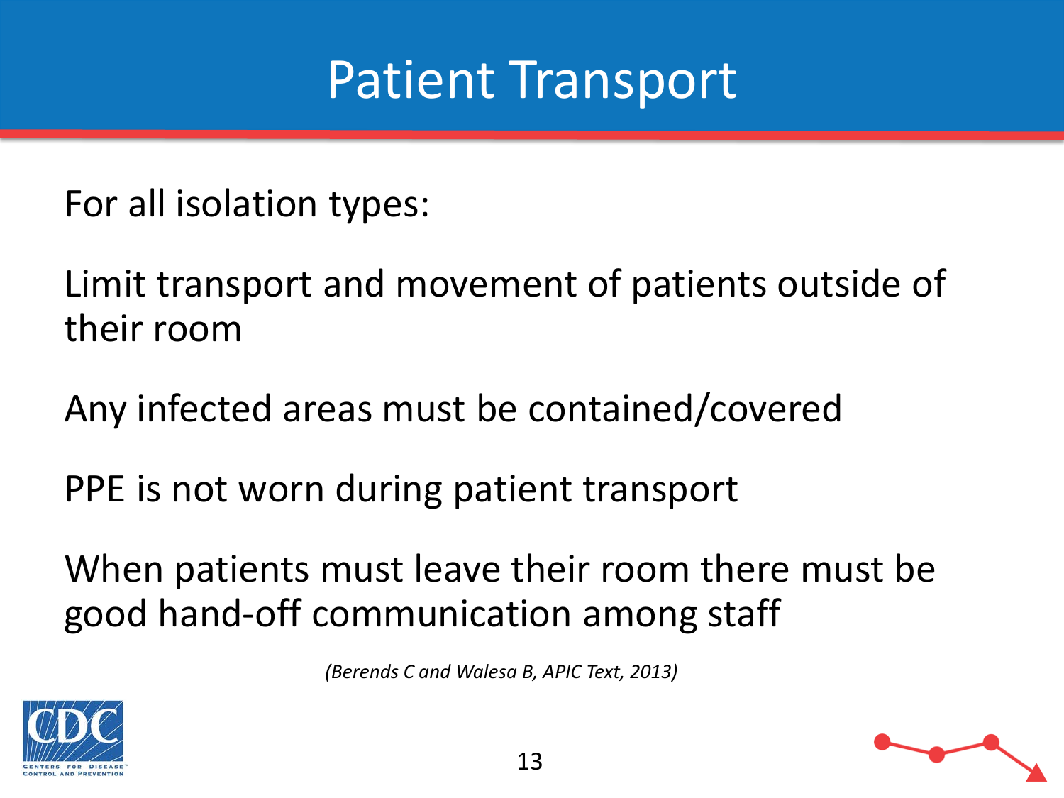#### Patient Transport

For all isolation types:

Limit transport and movement of patients outside of their room

Any infected areas must be contained/covered

PPE is not worn during patient transport

When patients must leave their room there must be good hand-off communication among staff

*(Berends C and Walesa B, APIC Text, 2013)* 

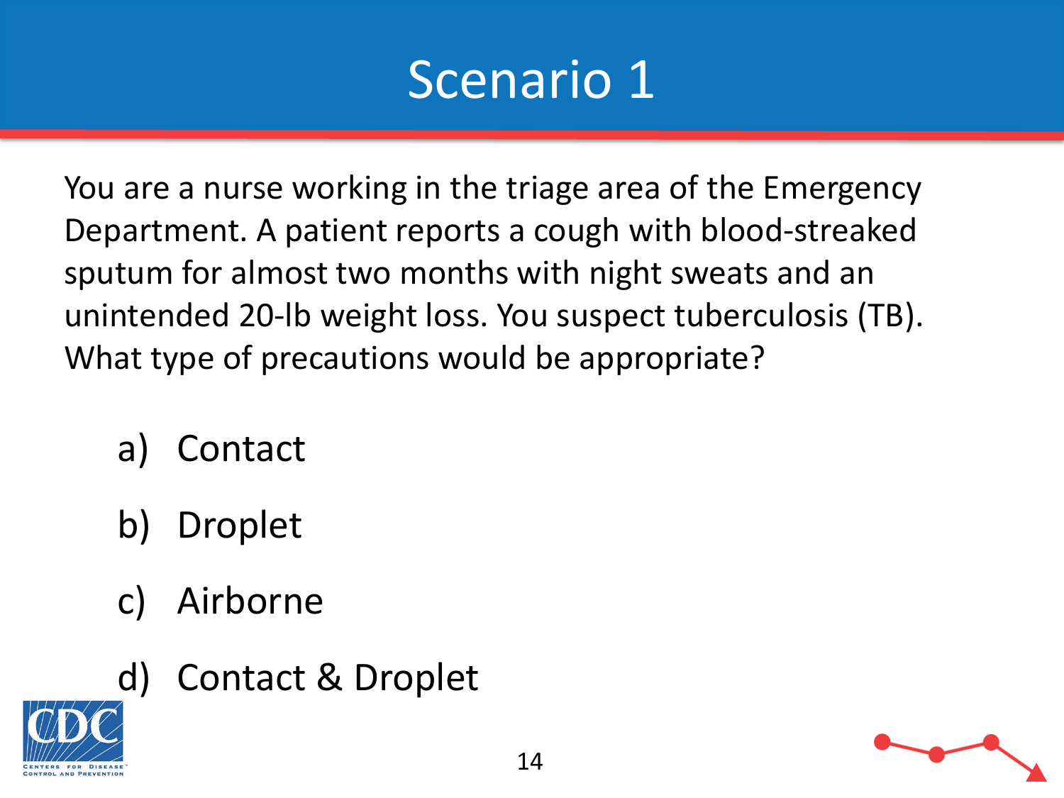#### Scenario 1

You are a nurse working in the triage area of the Emergency Department. A patient reports a cough with blood-streaked sputum for almost two months with night sweats and an unintended 20-lb weight loss. You suspect tuberculosis (TB). What type of precautions would be appropriate?

- a) Contact
- b) Droplet
- c) Airborne
- d) Contact & Droplet

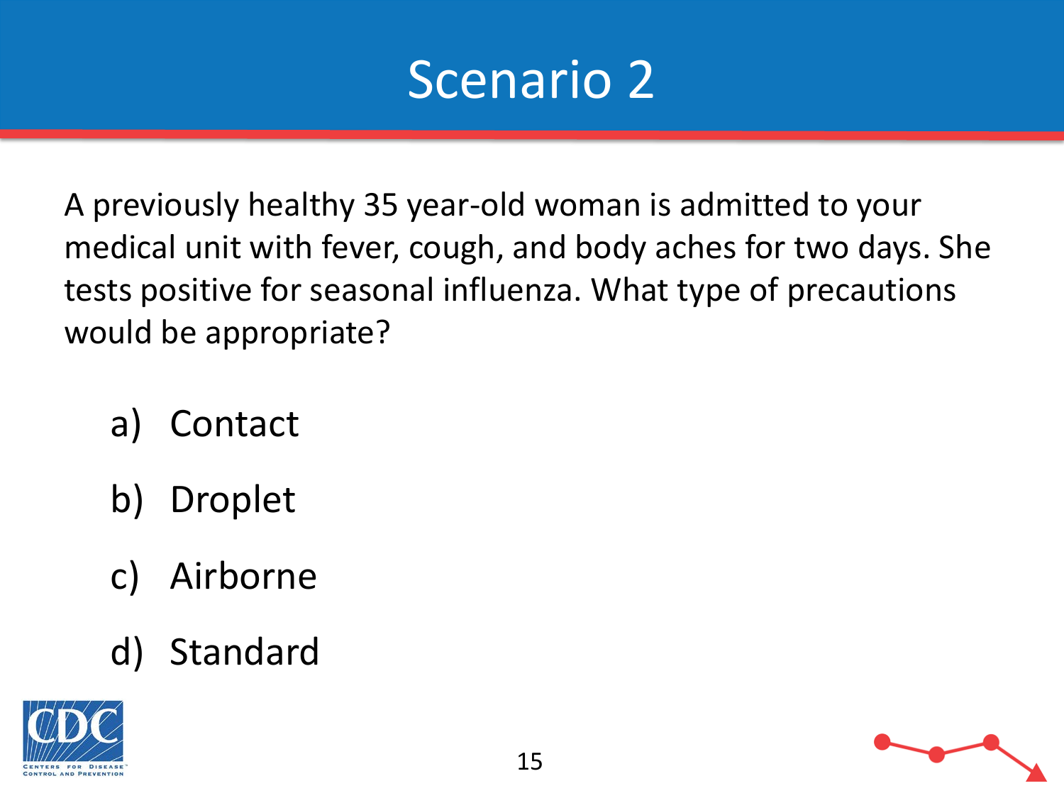

A previously healthy 35 year-old woman is admitted to your medical unit with fever, cough, and body aches for two days. She tests positive for seasonal influenza. What type of precautions would be appropriate?

- a) Contact
- b) Droplet
- c) Airborne
- d) Standard



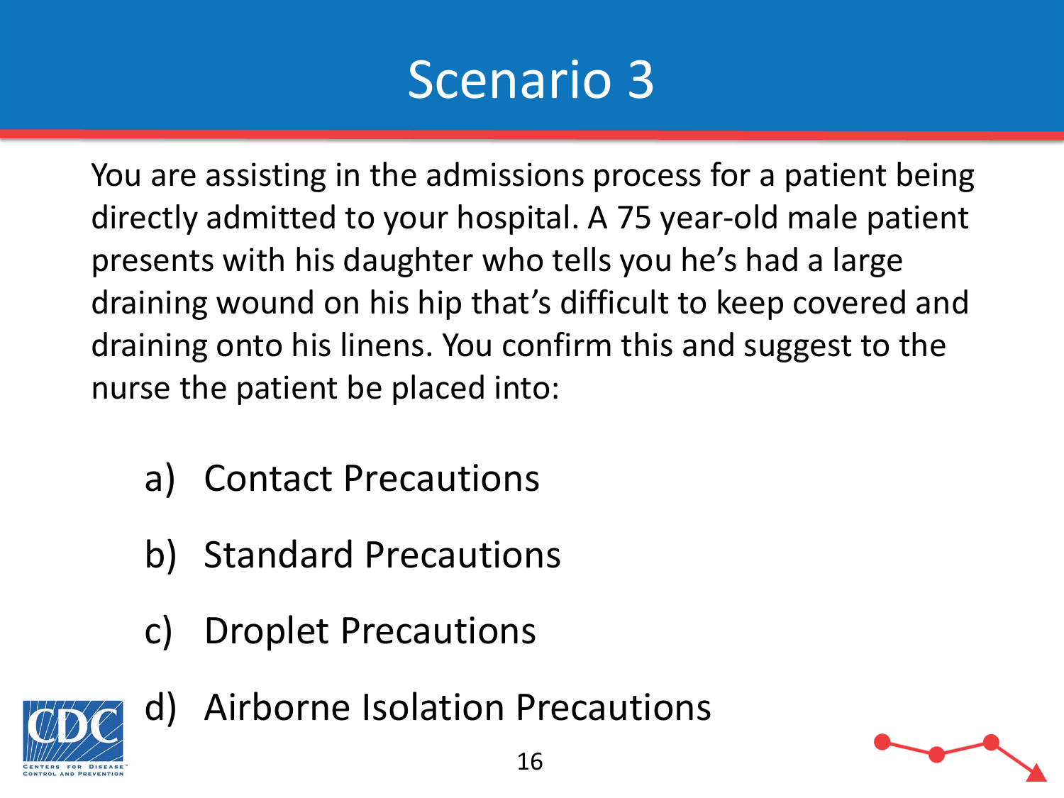#### Scenario 3

You are assisting in the admissions process for a patient being directly admitted to your hospital. A 75 year-old male patient presents with his daughter who tells you he's had a large draining wound on his hip that's difficult to keep covered and draining onto his linens. You confirm this and suggest to the nurse the patient be placed into:

- a) Contact Precautions
- b) Standard Precautions
- c) Droplet Precautions



d) Airborne Isolation Precautions

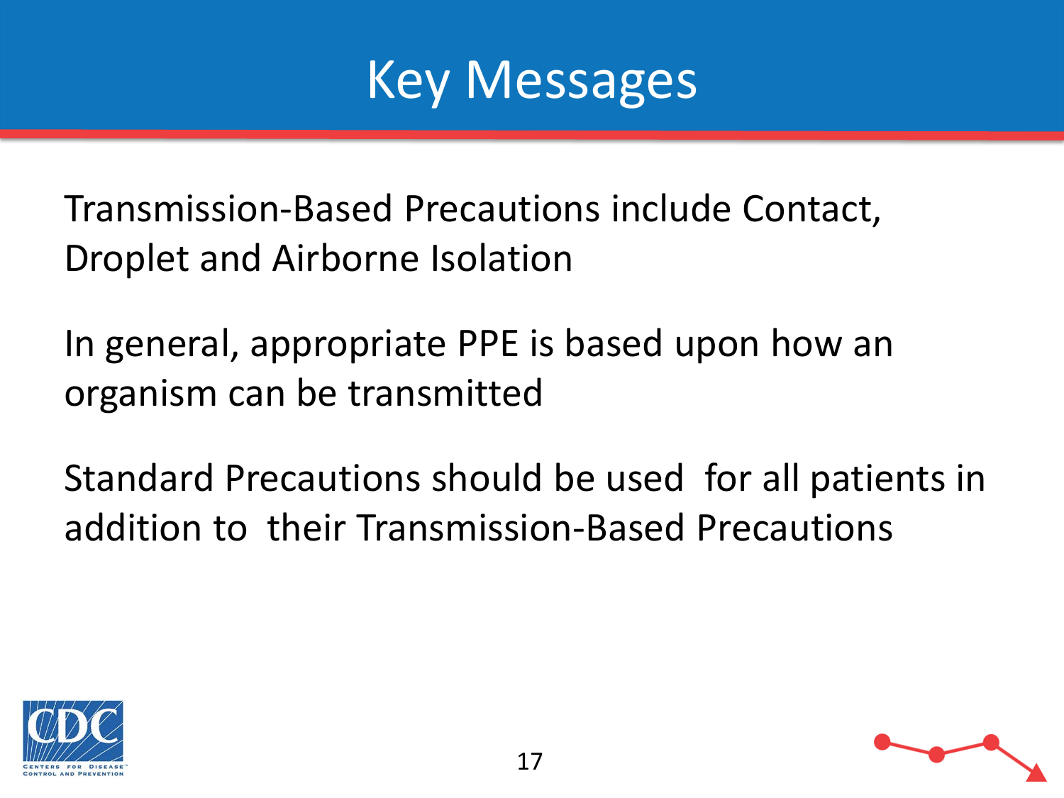

Transmission-Based Precautions include Contact, Droplet and Airborne Isolation

In general, appropriate PPE is based upon how an organism can be transmitted

Standard Precautions should be used for all patients in addition to their Transmission-Based Precautions



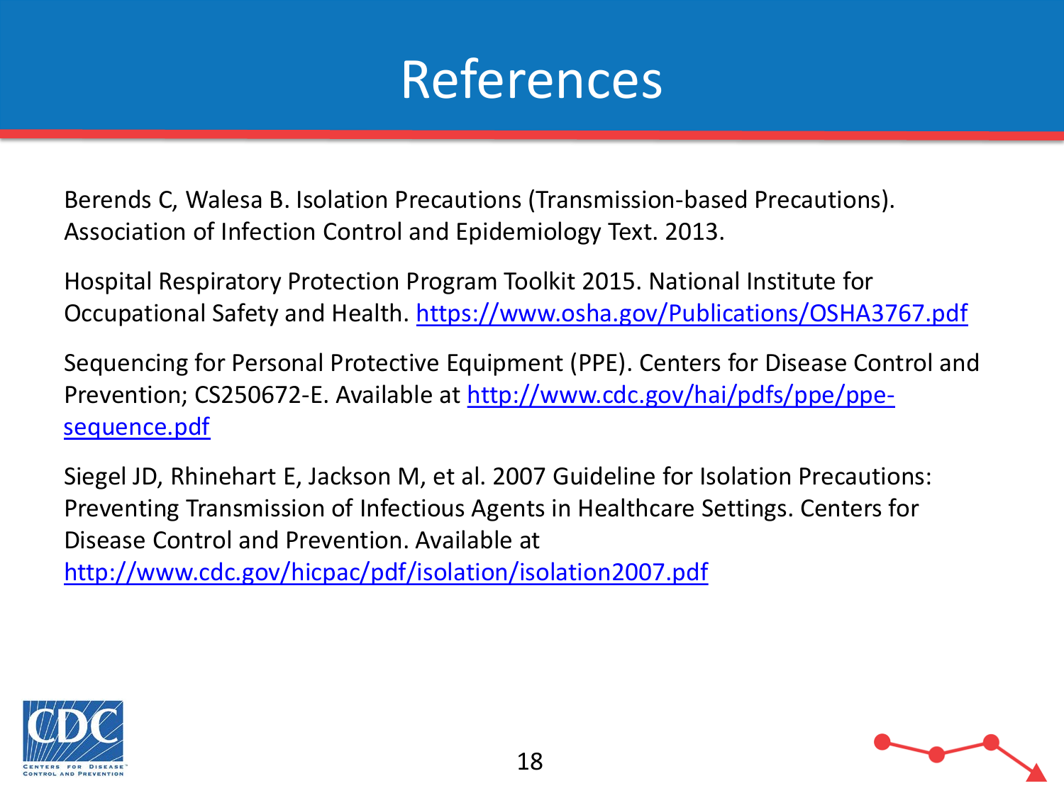

Berends C, Walesa B. Isolation Precautions (Transmission-based Precautions). Association of Infection Control and Epidemiology Text. 2013.

Hospital Respiratory Protection Program Toolkit 2015. National Institute for Occupational Safety and Health. <https://www.osha.gov/Publications/OSHA3767.pdf>

Sequencing for Personal Protective Equipment (PPE). Centers for Disease Control and [Prevention; CS250672-E. Available at http://www.cdc.gov/hai/pdfs/ppe/ppe](http://www.cdc.gov/hai/pdfs/ppe/ppe-sequence.pdf)sequence.pdf

Siegel JD, Rhinehart E, Jackson M, et al. 2007 Guideline for Isolation Precautions: Preventing Transmission of Infectious Agents in Healthcare Settings. Centers for Disease Control and Prevention. Available at

<http://www.cdc.gov/hicpac/pdf/isolation/isolation2007.pdf>



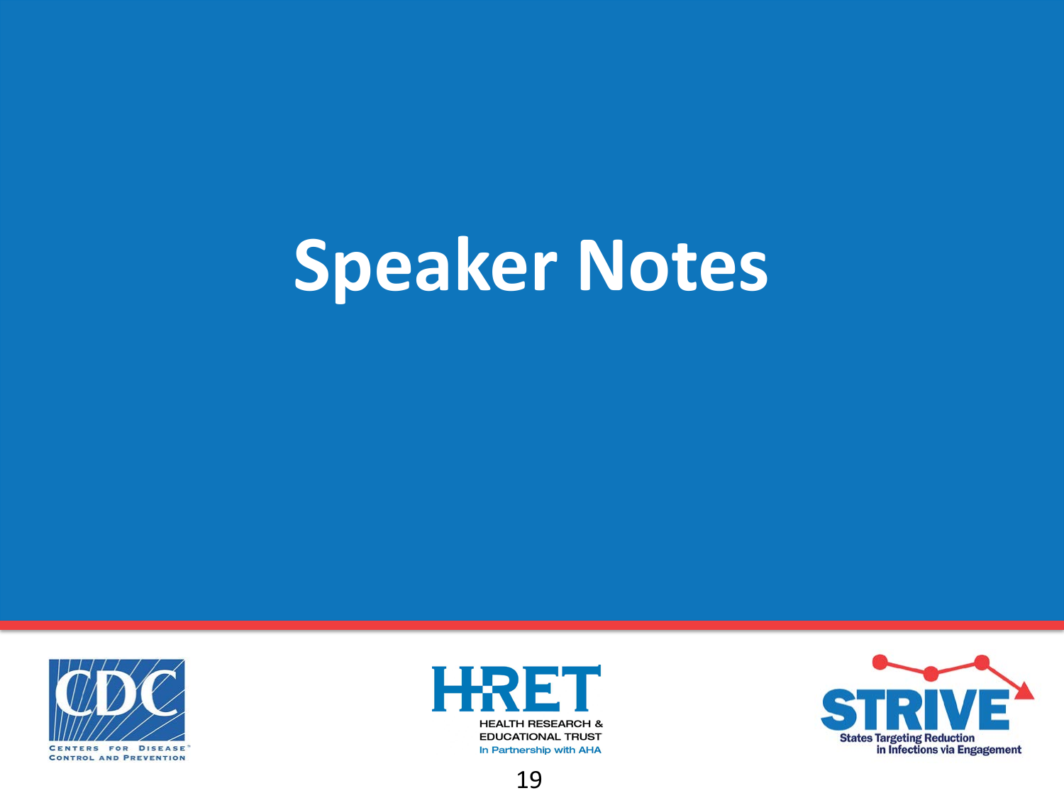# **Speaker Notes**





In Partnership with AHA



19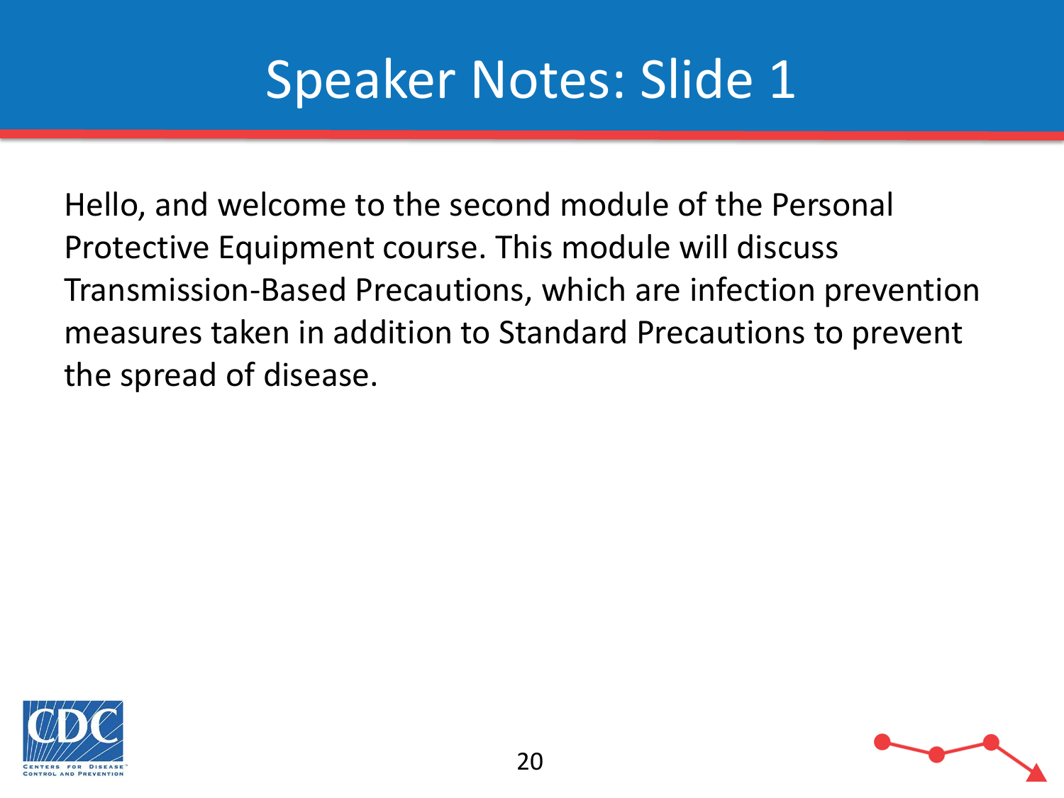Hello, and welcome to the second module of the Personal Protective Equipment course. This module will discuss Transmission-Based Precautions, which are infection prevention measures taken in addition to Standard Precautions to prevent the spread of disease.



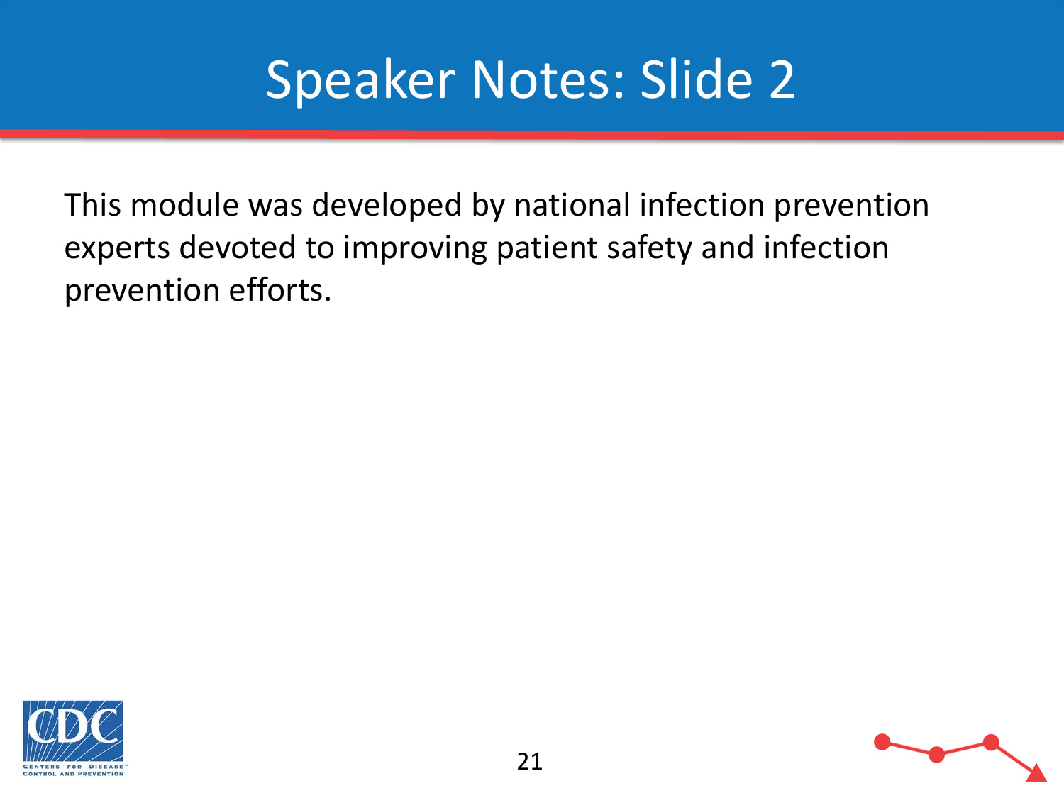This module was developed by national infection prevention experts devoted to improving patient safety and infection prevention efforts.



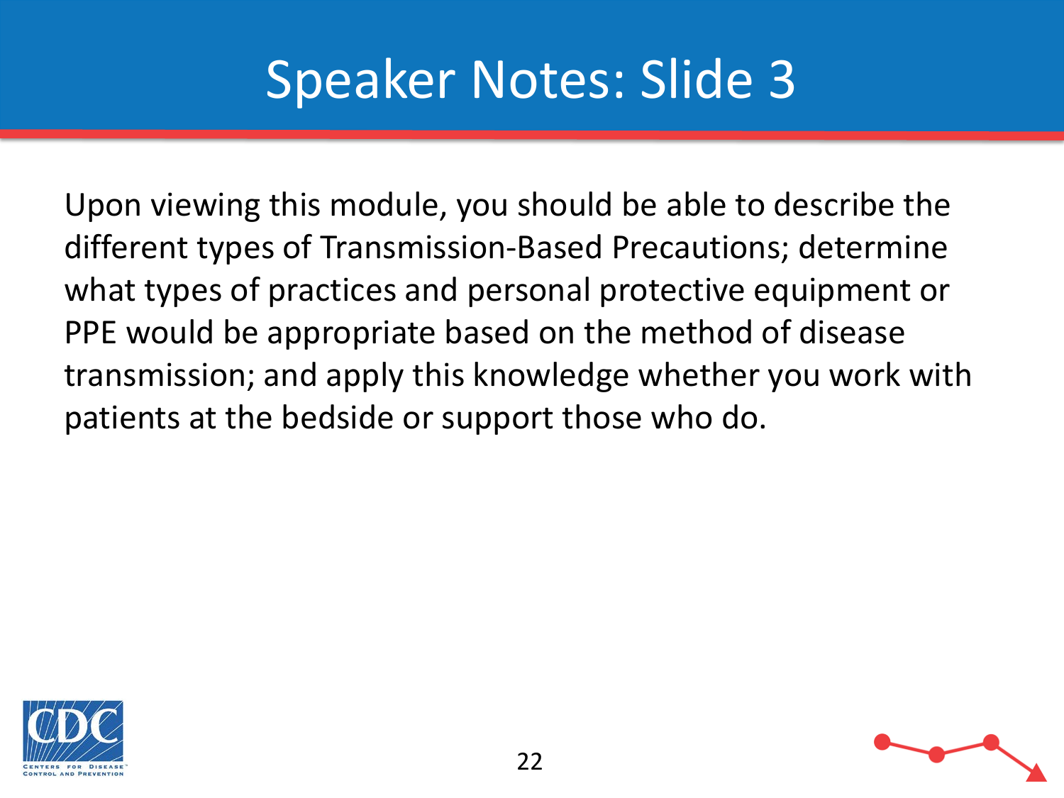Upon viewing this module, you should be able to describe the different types of Transmission-Based Precautions; determine what types of practices and personal protective equipment or PPE would be appropriate based on the method of disease transmission; and apply this knowledge whether you work with patients at the bedside or support those who do.



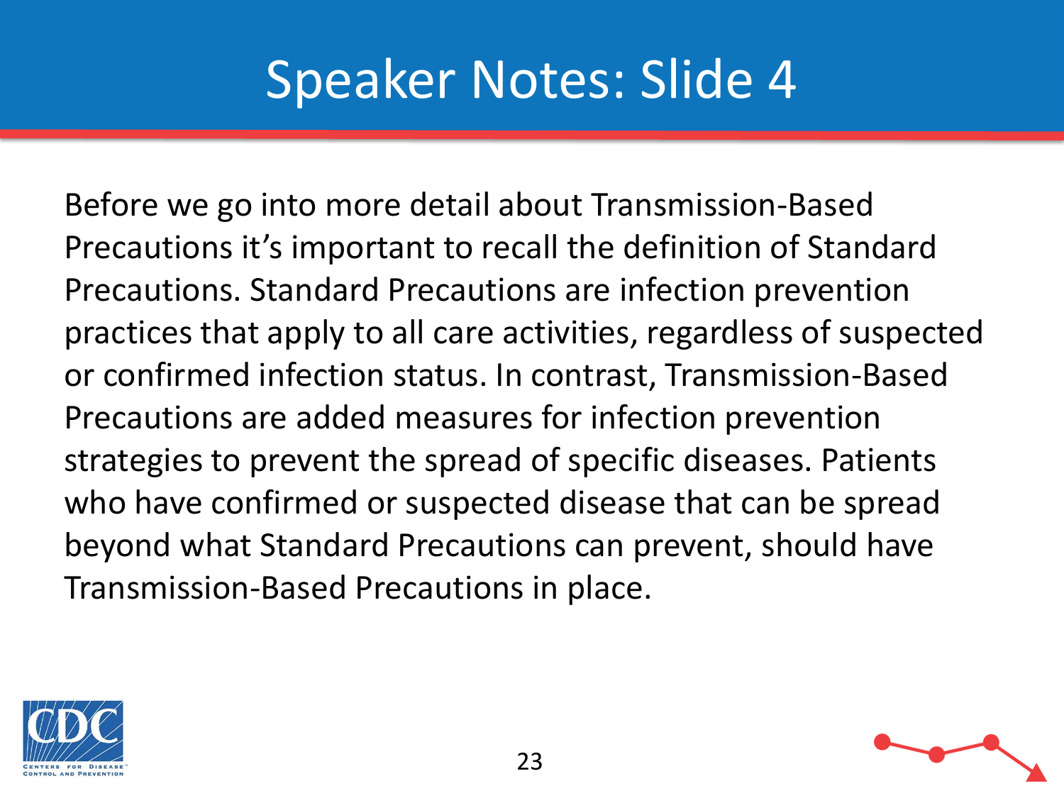Before we go into more detail about Transmission-Based Precautions it's important to recall the definition of Standard Precautions. Standard Precautions are infection prevention practices that apply to all care activities, regardless of suspected or confirmed infection status. In contrast, Transmission-Based Precautions are added measures for infection prevention strategies to prevent the spread of specific diseases. Patients who have confirmed or suspected disease that can be spread beyond what Standard Precautions can prevent, should have Transmission-Based Precautions in place.



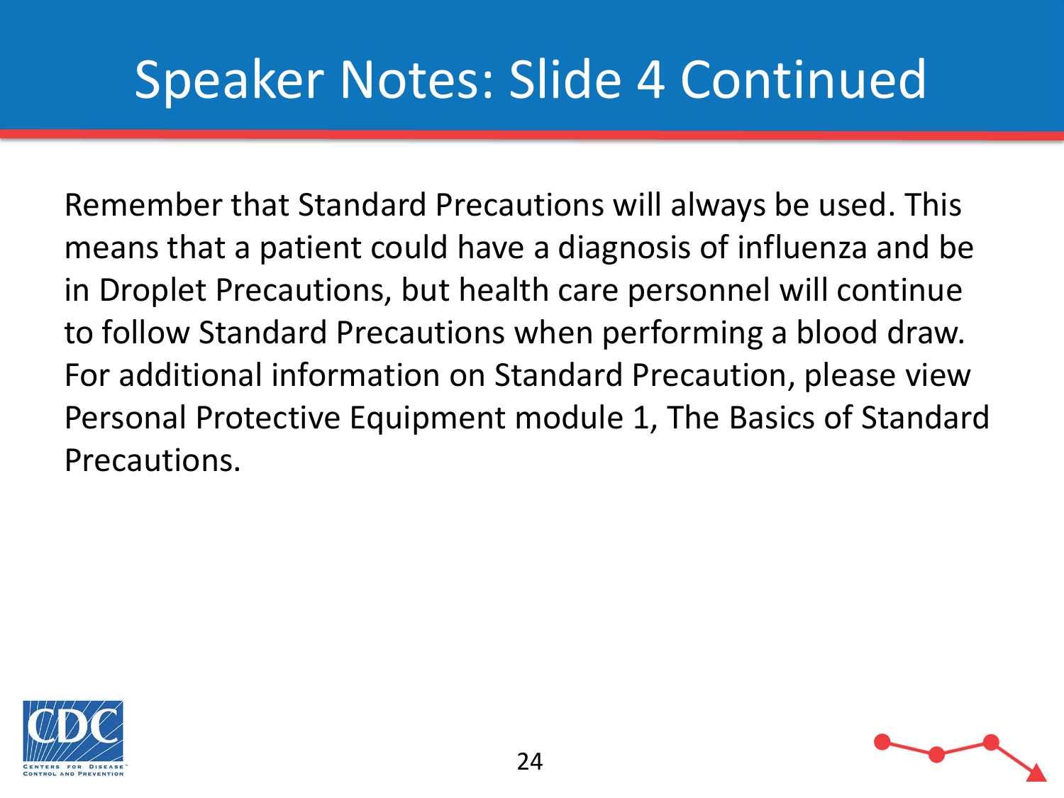# Speaker Notes: Slide 4 Continued

Remember that Standard Precautions will always be used. This means that a patient could have a diagnosis of influenza and be in Droplet Precautions, but health care personnel will continue to follow Standard Precautions when performing a blood draw. For additional information on Standard Precaution, please view Personal Protective Equipment module 1, The Basics of Standard Precautions.



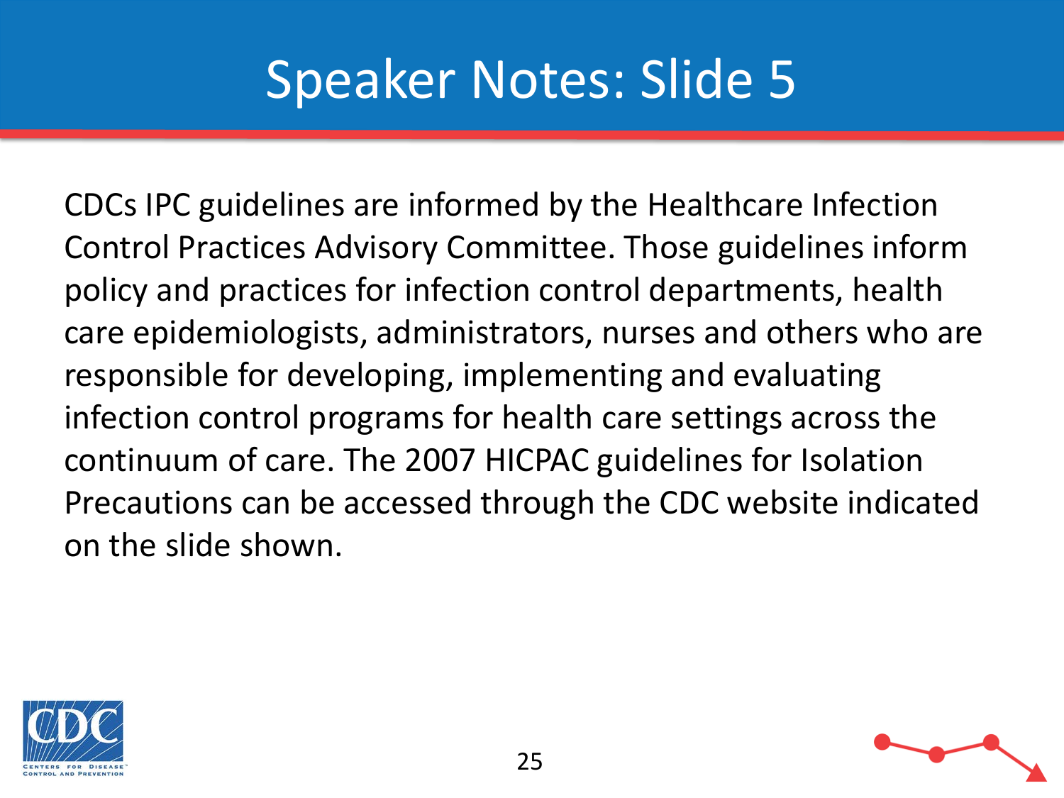CDCs IPC guidelines are informed by the Healthcare Infection Control Practices Advisory Committee. Those guidelines inform policy and practices for infection control departments, health care epidemiologists, administrators, nurses and others who are responsible for developing, implementing and evaluating infection control programs for health care settings across the continuum of care. The 2007 HICPAC guidelines for Isolation Precautions can be accessed through the CDC website indicated on the slide shown.



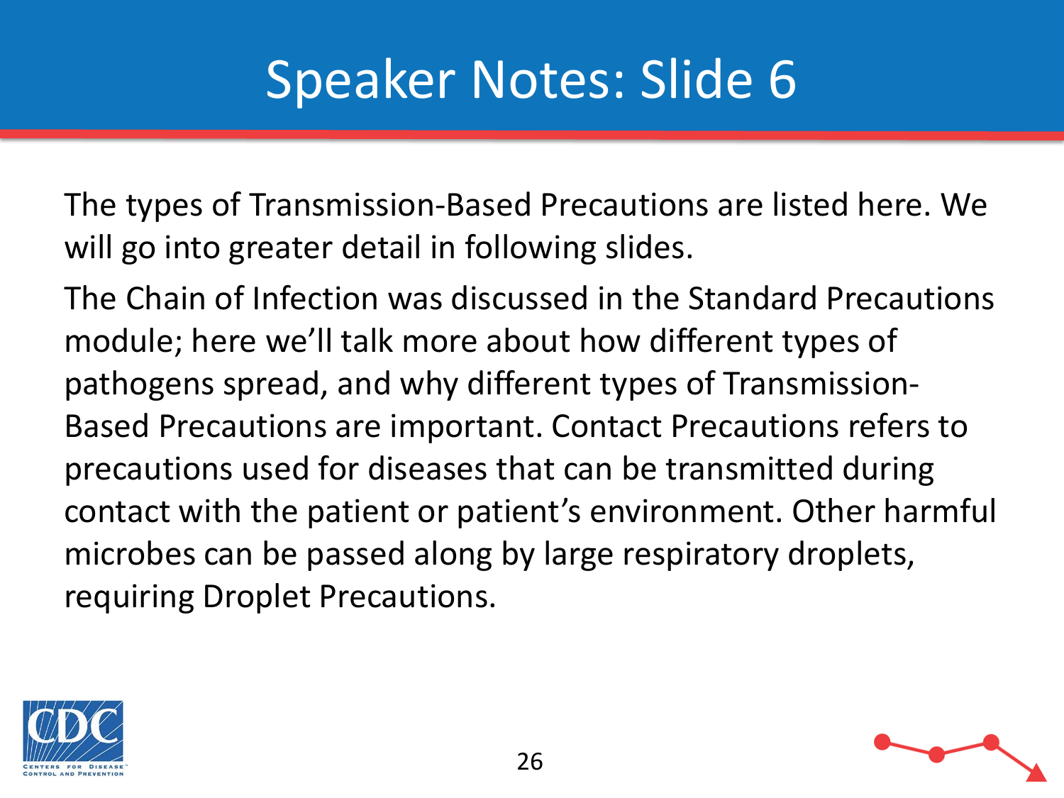The types of Transmission-Based Precautions are listed here. We will go into greater detail in following slides.

The Chain of Infection was discussed in the Standard Precautions module; here we'll talk more about how different types of pathogens spread, and why different types of Transmission-Based Precautions are important. Contact Precautions refers to precautions used for diseases that can be transmitted during contact with the patient or patient's environment. Other harmful microbes can be passed along by large respiratory droplets, requiring Droplet Precautions.



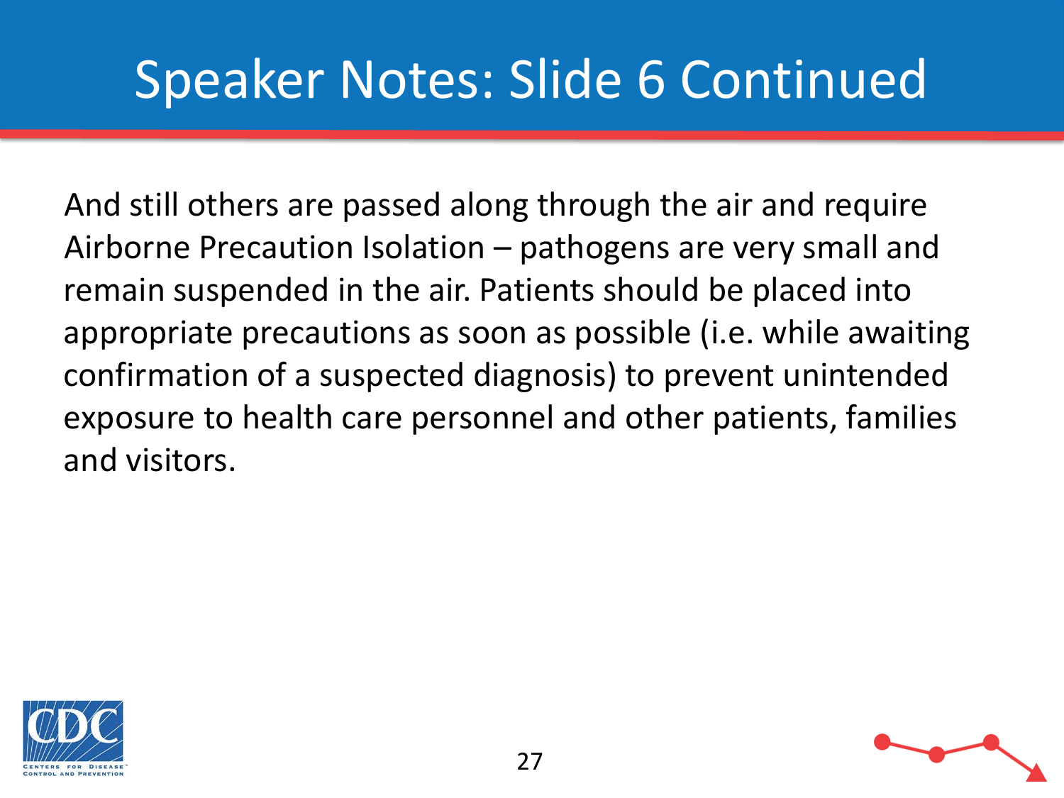## Speaker Notes: Slide 6 Continued

And still others are passed along through the air and require Airborne Precaution Isolation – pathogens are very small and remain suspended in the air. Patients should be placed into appropriate precautions as soon as possible (i.e. while awaiting confirmation of a suspected diagnosis) to prevent unintended exposure to health care personnel and other patients, families and visitors.



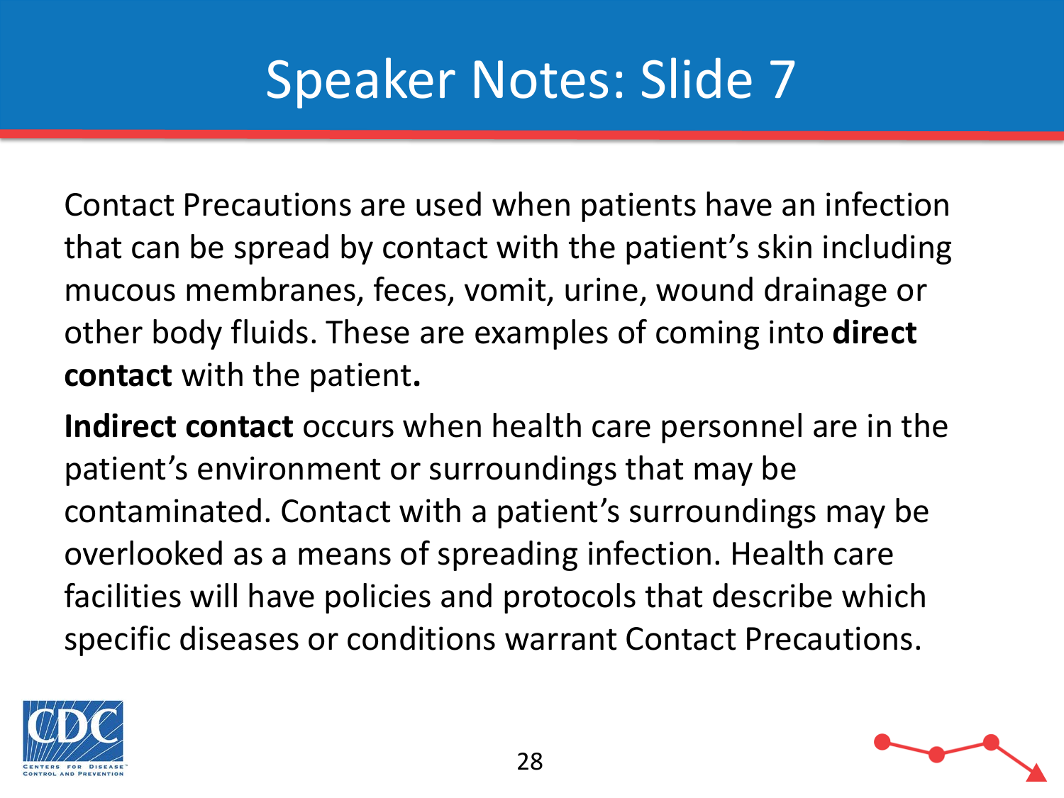Contact Precautions are used when patients have an infection that can be spread by contact with the patient's skin including mucous membranes, feces, vomit, urine, wound drainage or other body fluids. These are examples of coming into **direct contact** with the patient**.** 

**Indirect contact** occurs when health care personnel are in the patient's environment or surroundings that may be contaminated. Contact with a patient's surroundings may be overlooked as a means of spreading infection. Health care facilities will have policies and protocols that describe which specific diseases or conditions warrant Contact Precautions.



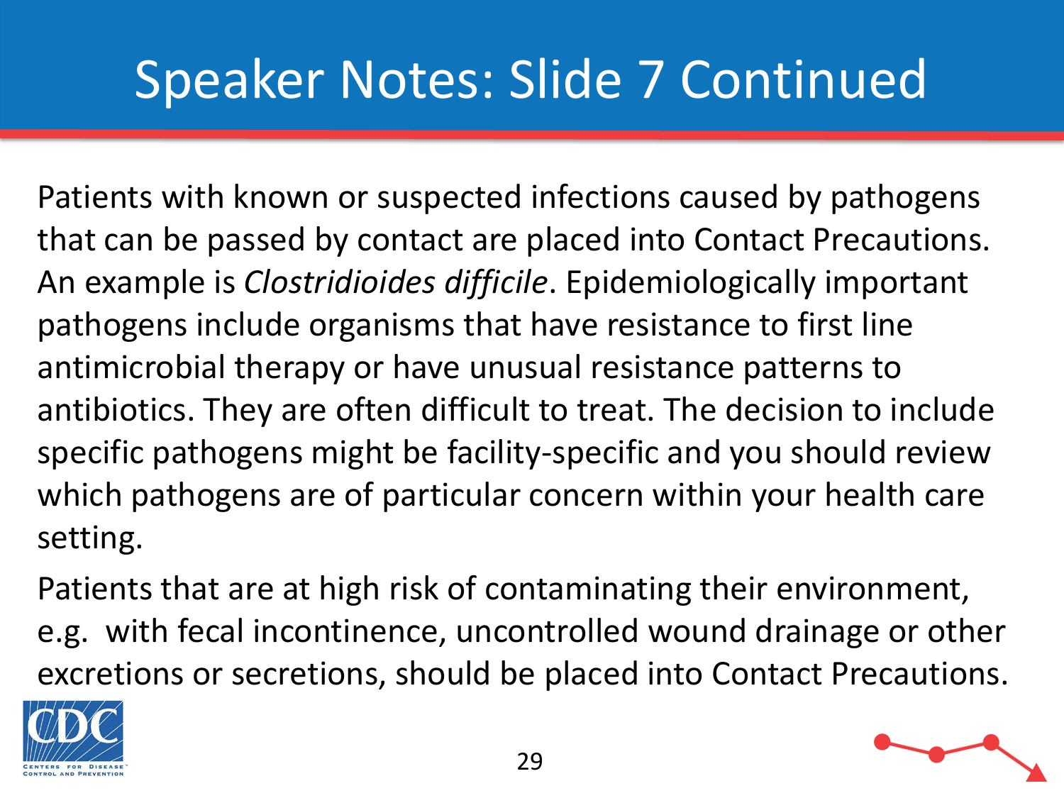# Speaker Notes: Slide 7 Continued

Patients with known or suspected infections caused by pathogens that can be passed by contact are placed into Contact Precautions. An example is *Clostridioides difficile*. Epidemiologically important pathogens include organisms that have resistance to first line antimicrobial therapy or have unusual resistance patterns to antibiotics. They are often difficult to treat. The decision to include specific pathogens might be facility-specific and you should review which pathogens are of particular concern within your health care setting.

Patients that are at high risk of contaminating their environment, e.g. with fecal incontinence, uncontrolled wound drainage or other excretions or secretions, should be placed into Contact Precautions.



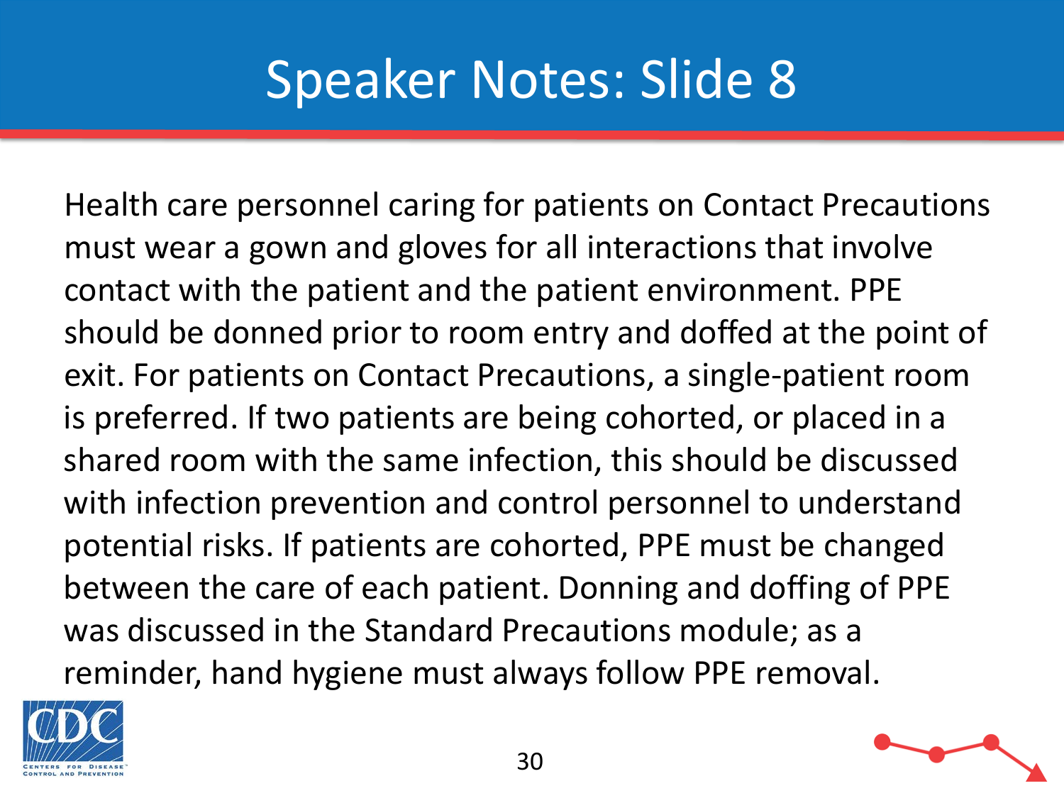Health care personnel caring for patients on Contact Precautions must wear a gown and gloves for all interactions that involve contact with the patient and the patient environment. PPE should be donned prior to room entry and doffed at the point of exit. For patients on Contact Precautions, a single-patient room is preferred. If two patients are being cohorted, or placed in a shared room with the same infection, this should be discussed with infection prevention and control personnel to understand potential risks. If patients are cohorted, PPE must be changed between the care of each patient. Donning and doffing of PPE was discussed in the Standard Precautions module; as a reminder, hand hygiene must always follow PPE removal.



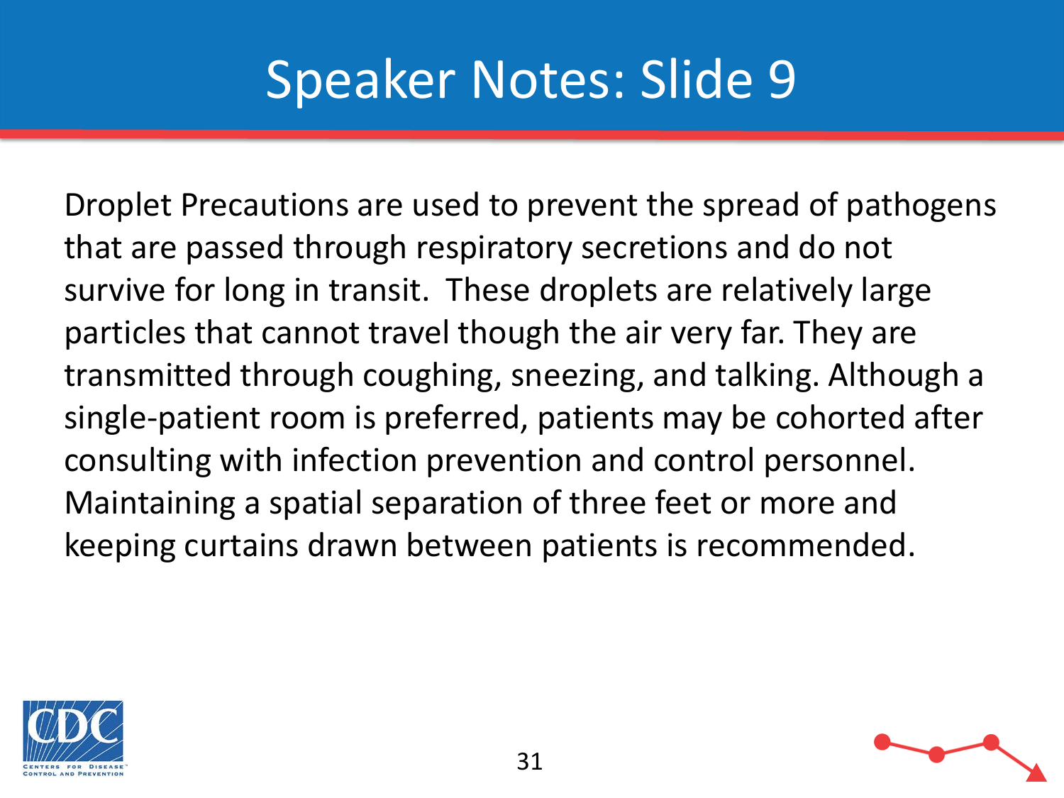Droplet Precautions are used to prevent the spread of pathogens that are passed through respiratory secretions and do not survive for long in transit. These droplets are relatively large particles that cannot travel though the air very far. They are transmitted through coughing, sneezing, and talking. Although a single-patient room is preferred, patients may be cohorted after consulting with infection prevention and control personnel. Maintaining a spatial separation of three feet or more and keeping curtains drawn between patients is recommended.

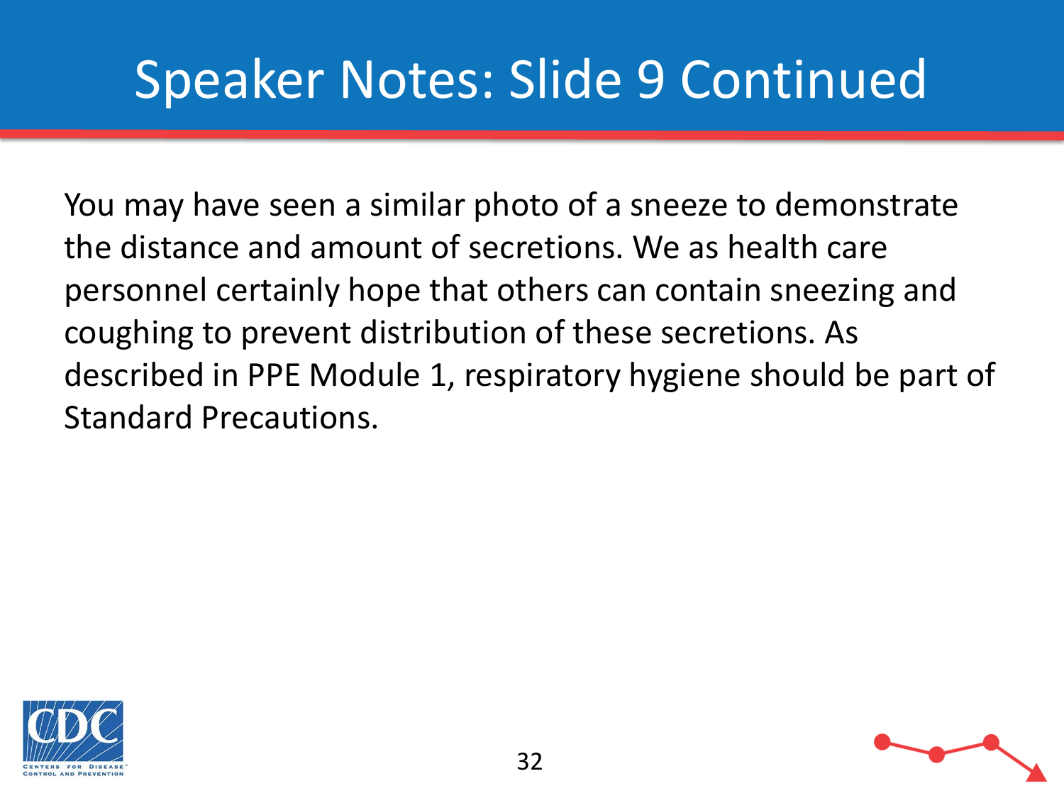# Speaker Notes: Slide 9 Continued

You may have seen a similar photo of a sneeze to demonstrate the distance and amount of secretions. We as health care personnel certainly hope that others can contain sneezing and coughing to prevent distribution of these secretions. As described in PPE Module 1, respiratory hygiene should be part of Standard Precautions.

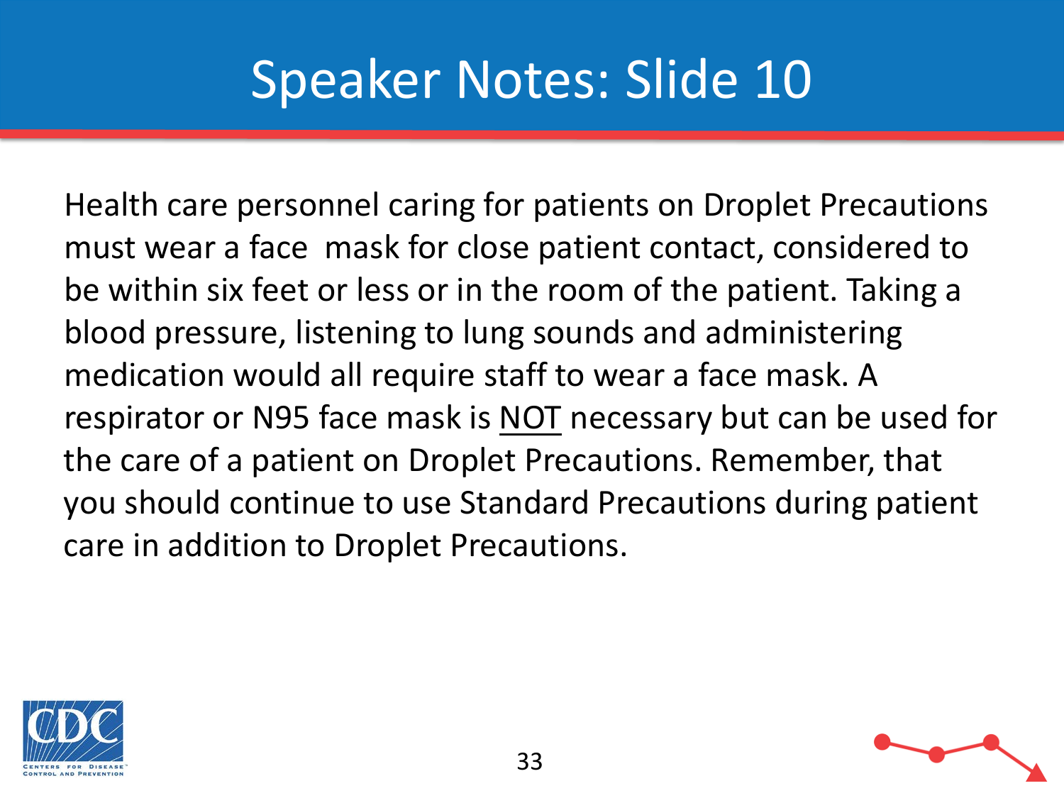Health care personnel caring for patients on Droplet Precautions must wear a face mask for close patient contact, considered to be within six feet or less or in the room of the patient. Taking a blood pressure, listening to lung sounds and administering medication would all require staff to wear a face mask. A respirator or N95 face mask is NOT necessary but can be used for the care of a patient on Droplet Precautions. Remember, that you should continue to use Standard Precautions during patient care in addition to Droplet Precautions.

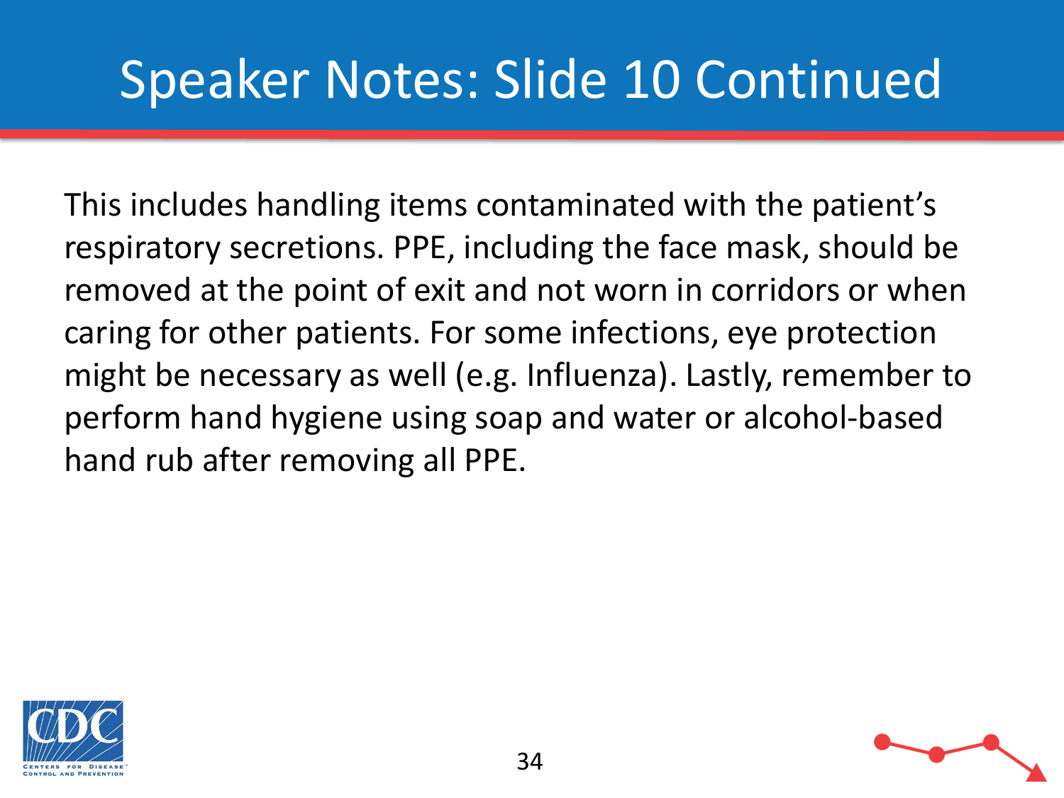# Speaker Notes: Slide 10 Continued

This includes handling items contaminated with the patient's respiratory secretions. PPE, including the face mask, should be removed at the point of exit and not worn in corridors or when caring for other patients. For some infections, eye protection might be necessary as well (e.g. Influenza). Lastly, remember to perform hand hygiene using soap and water or alcohol-based hand rub after removing all PPE.



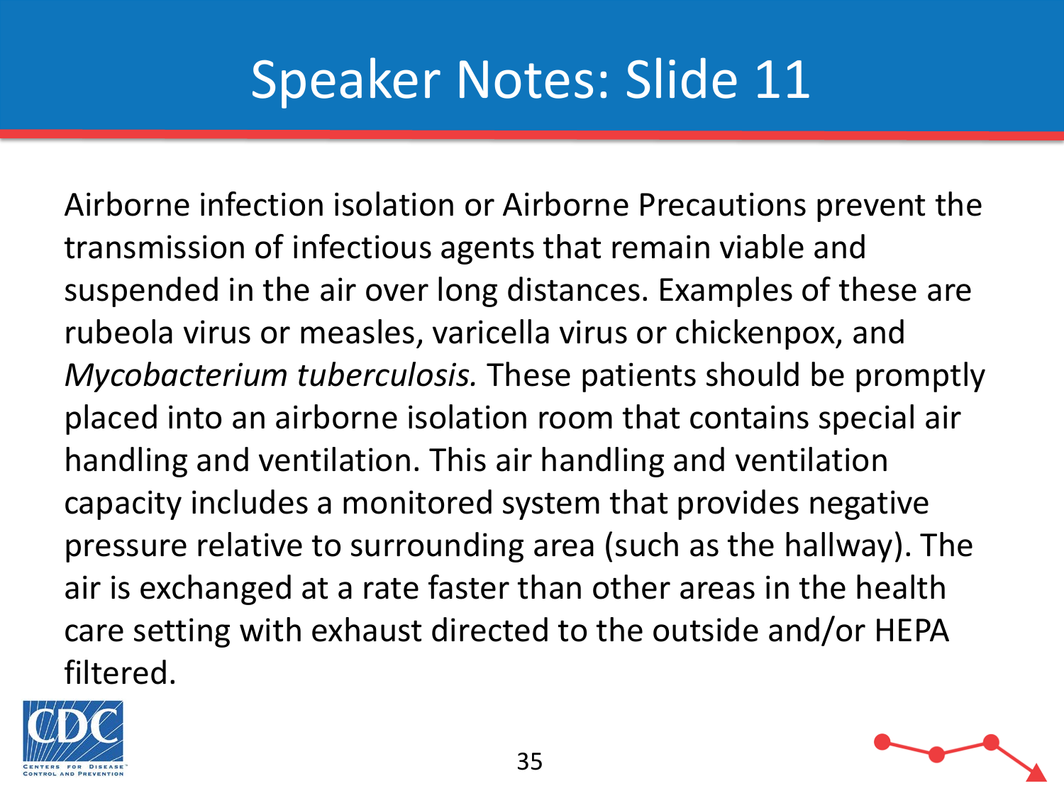Airborne infection isolation or Airborne Precautions prevent the transmission of infectious agents that remain viable and suspended in the air over long distances. Examples of these are rubeola virus or measles, varicella virus or chickenpox, and *Mycobacterium tuberculosis.* These patients should be promptly placed into an airborne isolation room that contains special air handling and ventilation. This air handling and ventilation capacity includes a monitored system that provides negative pressure relative to surrounding area (such as the hallway). The air is exchanged at a rate faster than other areas in the health care setting with exhaust directed to the outside and/or HEPA filtered.



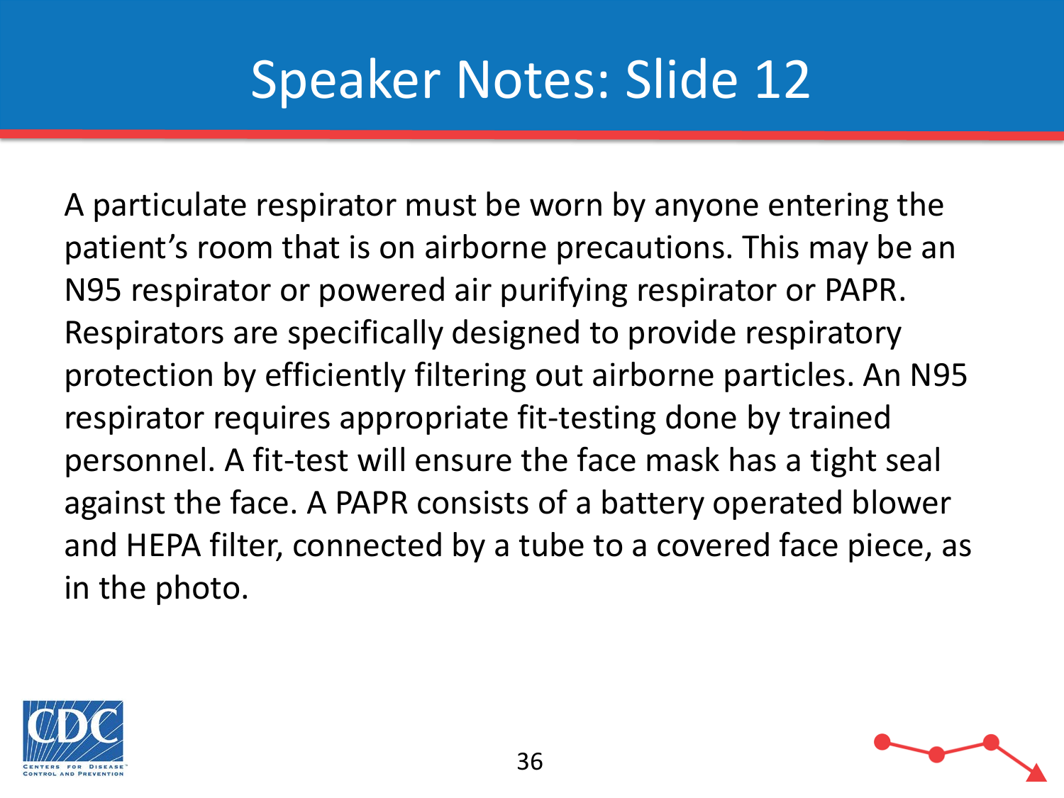A particulate respirator must be worn by anyone entering the patient's room that is on airborne precautions. This may be an N95 respirator or powered air purifying respirator or PAPR. Respirators are specifically designed to provide respiratory protection by efficiently filtering out airborne particles. An N95 respirator requires appropriate fit-testing done by trained personnel. A fit-test will ensure the face mask has a tight seal against the face. A PAPR consists of a battery operated blower and HEPA filter, connected by a tube to a covered face piece, as in the photo.



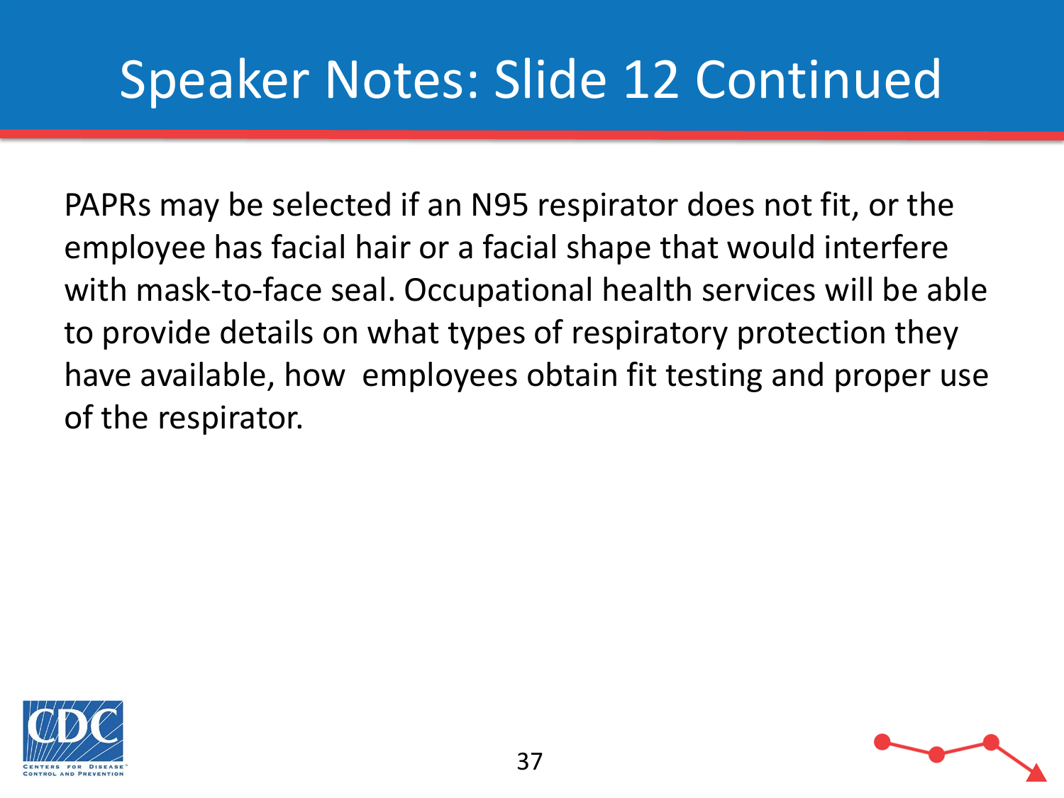# Speaker Notes: Slide 12 Continued

PAPRs may be selected if an N95 respirator does not fit, or the employee has facial hair or a facial shape that would interfere with mask-to-face seal. Occupational health services will be able to provide details on what types of respiratory protection they have available, how employees obtain fit testing and proper use of the respirator.

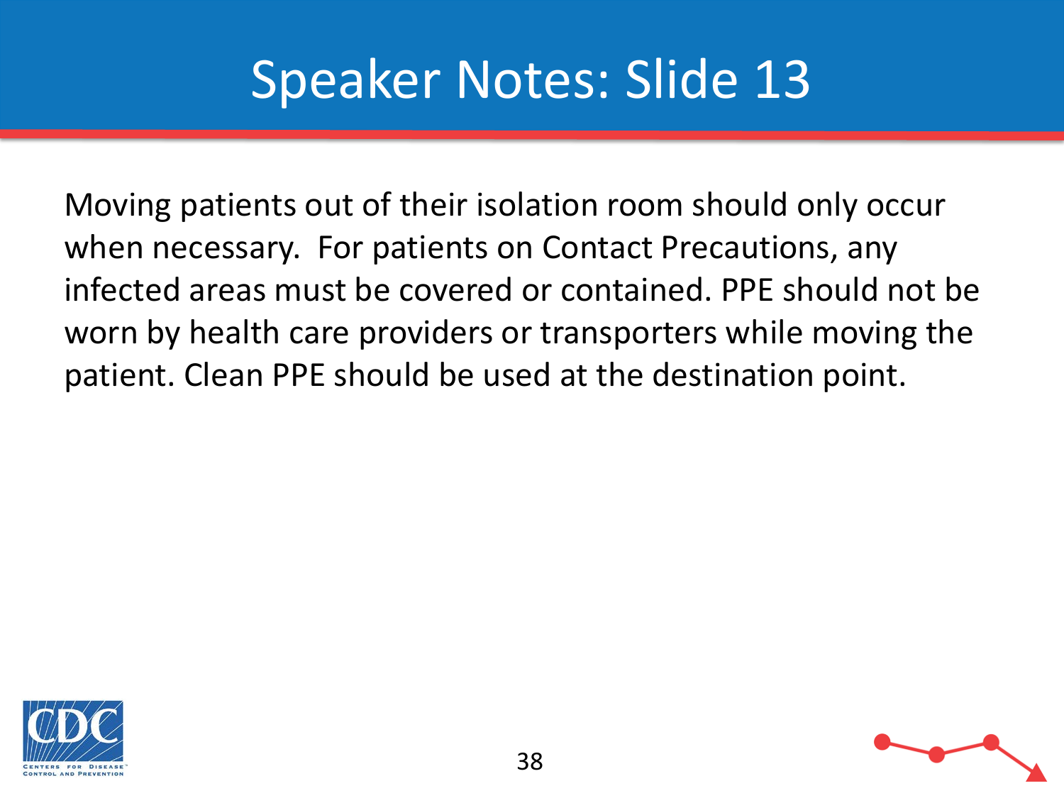Moving patients out of their isolation room should only occur when necessary. For patients on Contact Precautions, any infected areas must be covered or contained. PPE should not be worn by health care providers or transporters while moving the patient. Clean PPE should be used at the destination point.



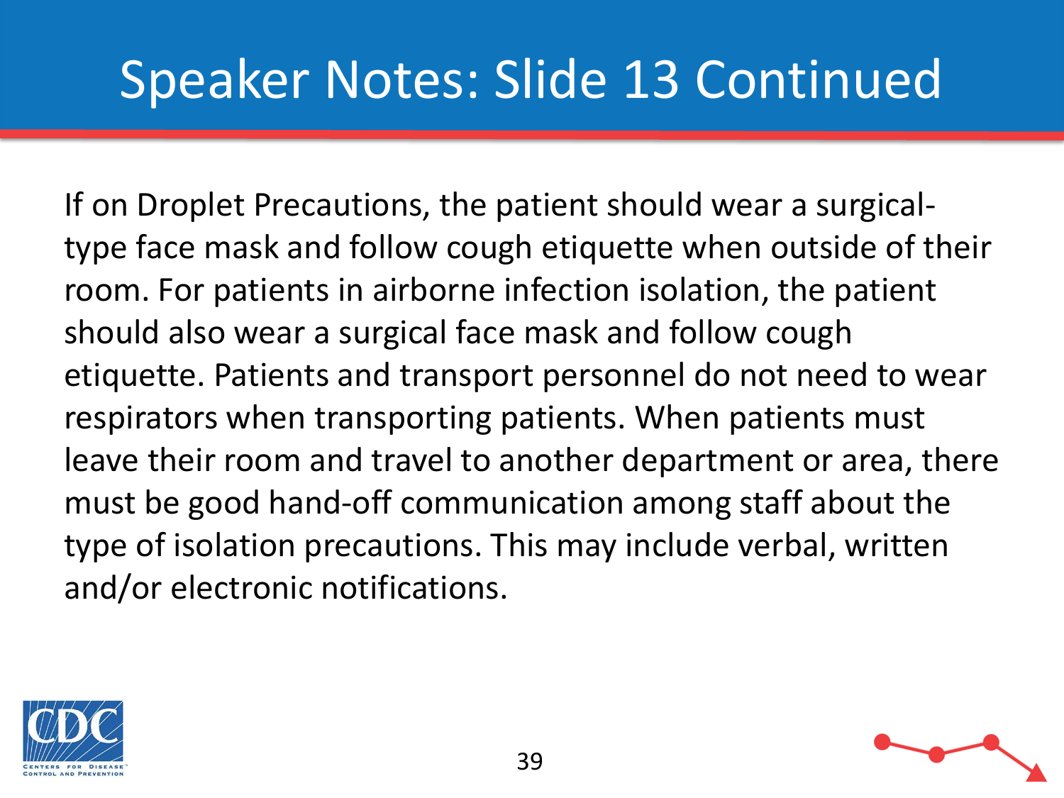# Speaker Notes: Slide 13 Continued

If on Droplet Precautions, the patient should wear a surgicaltype face mask and follow cough etiquette when outside of their room. For patients in airborne infection isolation, the patient should also wear a surgical face mask and follow cough etiquette. Patients and transport personnel do not need to wear respirators when transporting patients. When patients must leave their room and travel to another department or area, there must be good hand-off communication among staff about the type of isolation precautions. This may include verbal, written and/or electronic notifications.



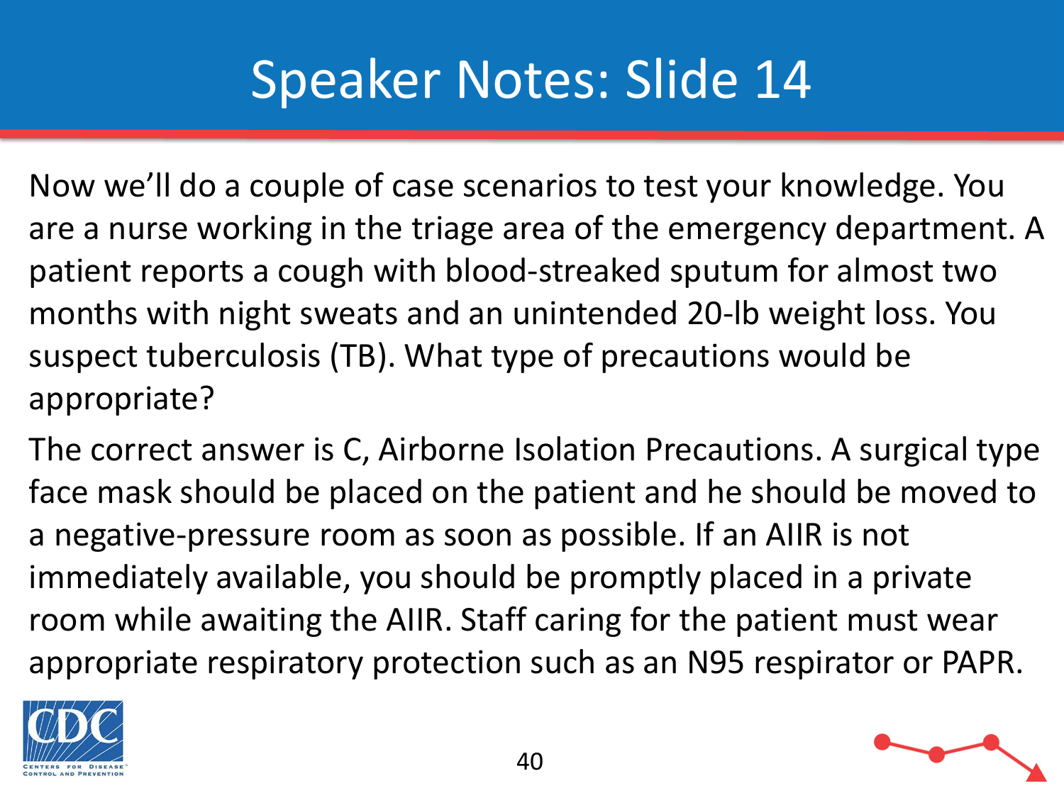Now we'll do a couple of case scenarios to test your knowledge. You are a nurse working in the triage area of the emergency department. A patient reports a cough with blood-streaked sputum for almost two months with night sweats and an unintended 20-lb weight loss. You suspect tuberculosis (TB). What type of precautions would be appropriate?

The correct answer is C, Airborne Isolation Precautions. A surgical type face mask should be placed on the patient and he should be moved to a negative-pressure room as soon as possible. If an AIIR is not immediately available, you should be promptly placed in a private room while awaiting the AIIR. Staff caring for the patient must wear appropriate respiratory protection such as an N95 respirator or PAPR.



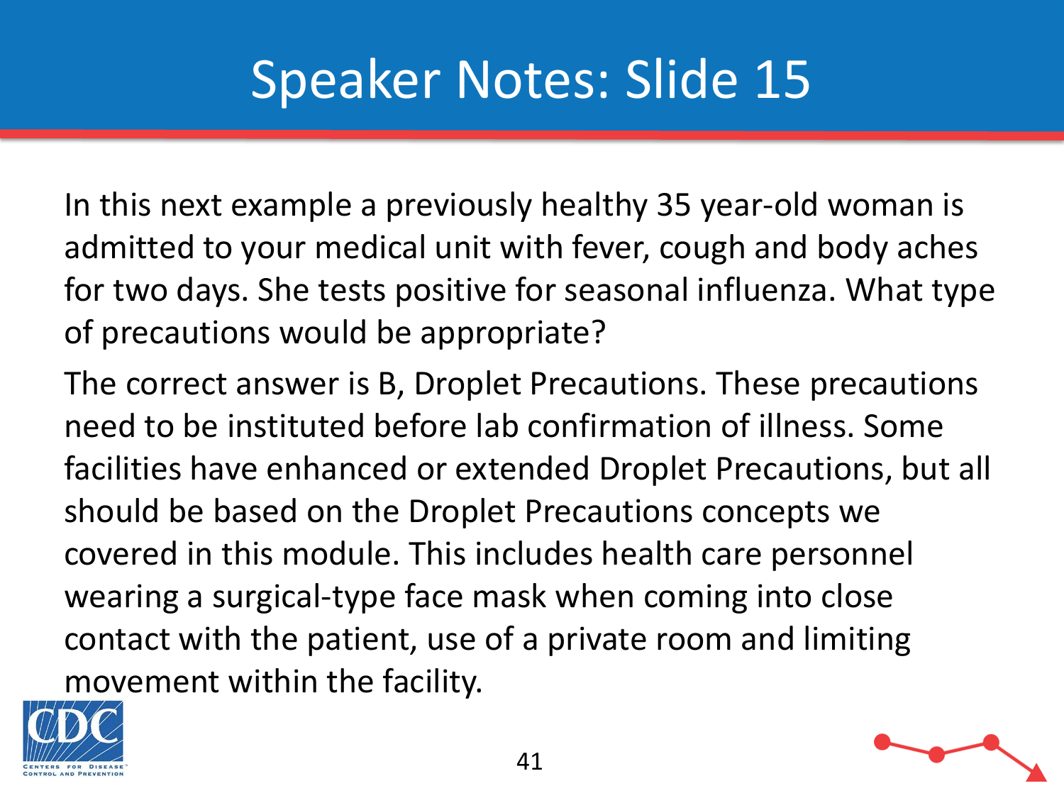In this next example a previously healthy 35 year-old woman is admitted to your medical unit with fever, cough and body aches for two days. She tests positive for seasonal influenza. What type of precautions would be appropriate?

The correct answer is B, Droplet Precautions. These precautions need to be instituted before lab confirmation of illness. Some facilities have enhanced or extended Droplet Precautions, but all should be based on the Droplet Precautions concepts we covered in this module. This includes health care personnel wearing a surgical-type face mask when coming into close contact with the patient, use of a private room and limiting movement within the facility.



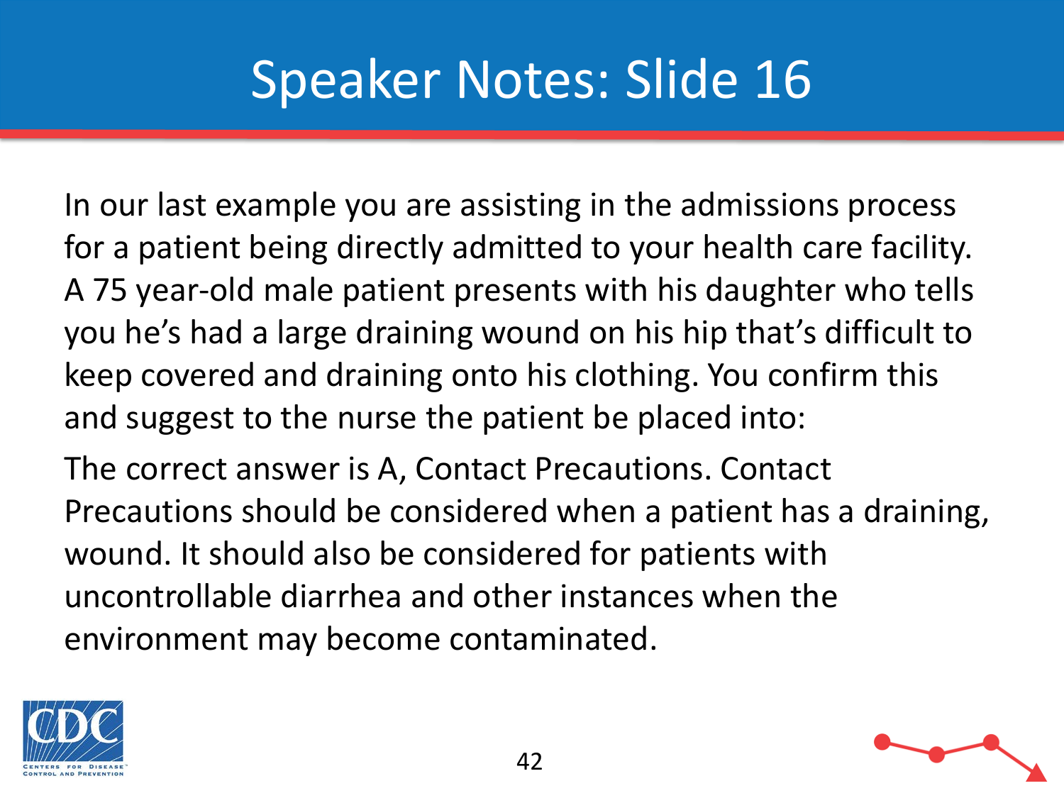In our last example you are assisting in the admissions process for a patient being directly admitted to your health care facility. A 75 year-old male patient presents with his daughter who tells you he's had a large draining wound on his hip that's difficult to keep covered and draining onto his clothing. You confirm this and suggest to the nurse the patient be placed into:

The correct answer is A, Contact Precautions. Contact Precautions should be considered when a patient has a draining, wound. It should also be considered for patients with uncontrollable diarrhea and other instances when the environment may become contaminated.

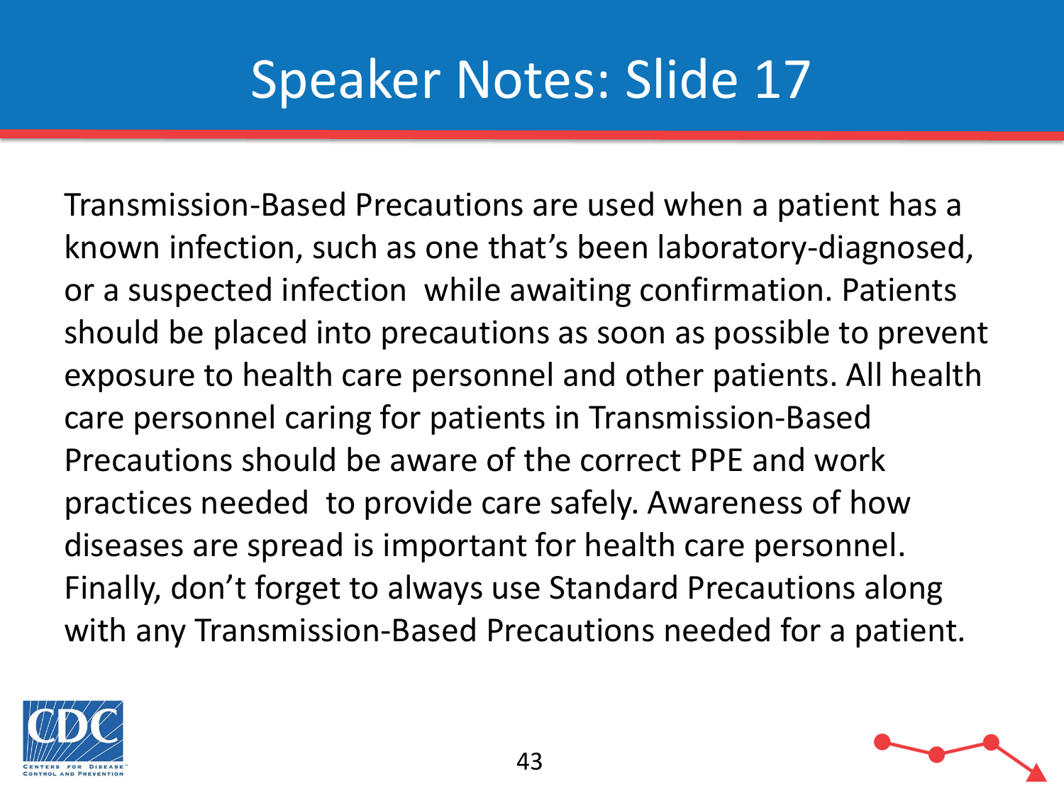Transmission-Based Precautions are used when a patient has a known infection, such as one that's been laboratory-diagnosed, or a suspected infection while awaiting confirmation. Patients should be placed into precautions as soon as possible to prevent exposure to health care personnel and other patients. All health care personnel caring for patients in Transmission-Based Precautions should be aware of the correct PPE and work practices needed to provide care safely. Awareness of how diseases are spread is important for health care personnel. Finally, don't forget to always use Standard Precautions along with any Transmission-Based Precautions needed for a patient.